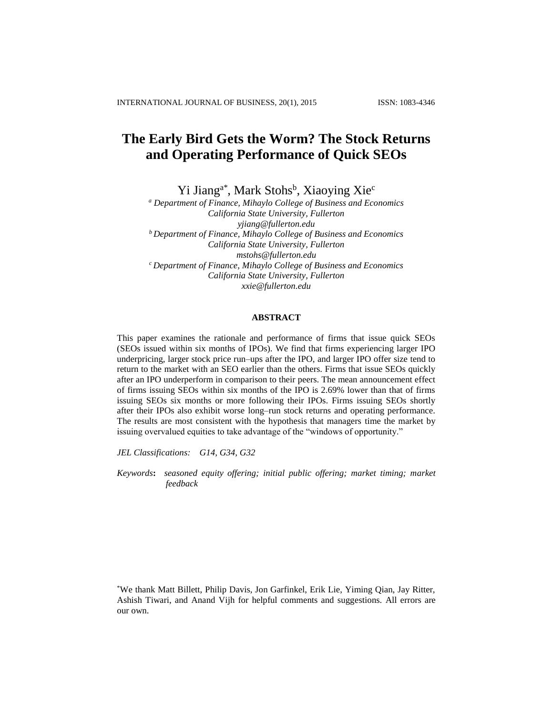# **The Early Bird Gets the Worm? The Stock Returns and Operating Performance of Quick SEOs**

Yi Jiang<sup>a\*</sup>, Mark Stohs<sup>b</sup>, Xiaoying Xie<sup>c</sup>

*<sup>a</sup> Department of Finance, Mihaylo College of Business and Economics California State University, Fullerton [yjiang@fullerton.edu](mailto:yjiang@fullerton.edu) <sup>b</sup>Department of Finance, Mihaylo College of Business and Economics California State University, Fullerton [mstohs@fullerton.edu](mailto:mstohs@fullerton.edu) <sup>c</sup>Department of Finance, Mihaylo College of Business and Economics California State University, Fullerton [xxie@fullerton.edu](mailto:xxie@fullerton.edu)*

# **ABSTRACT**

This paper examines the rationale and performance of firms that issue quick SEOs (SEOs issued within six months of IPOs). We find that firms experiencing larger IPO underpricing, larger stock price run–ups after the IPO, and larger IPO offer size tend to return to the market with an SEO earlier than the others. Firms that issue SEOs quickly after an IPO underperform in comparison to their peers. The mean announcement effect of firms issuing SEOs within six months of the IPO is 2.69% lower than that of firms issuing SEOs six months or more following their IPOs. Firms issuing SEOs shortly after their IPOs also exhibit worse long–run stock returns and operating performance. The results are most consistent with the hypothesis that managers time the market by issuing overvalued equities to take advantage of the "windows of opportunity."

*JEL Classifications: G14, G34, G32*

*Keywords***:** *seasoned equity offering; initial public offering; market timing; market feedback*

\*We thank Matt Billett, Philip Davis, Jon Garfinkel, Erik Lie, Yiming Qian, Jay Ritter, Ashish Tiwari, and Anand Vijh for helpful comments and suggestions. All errors are our own.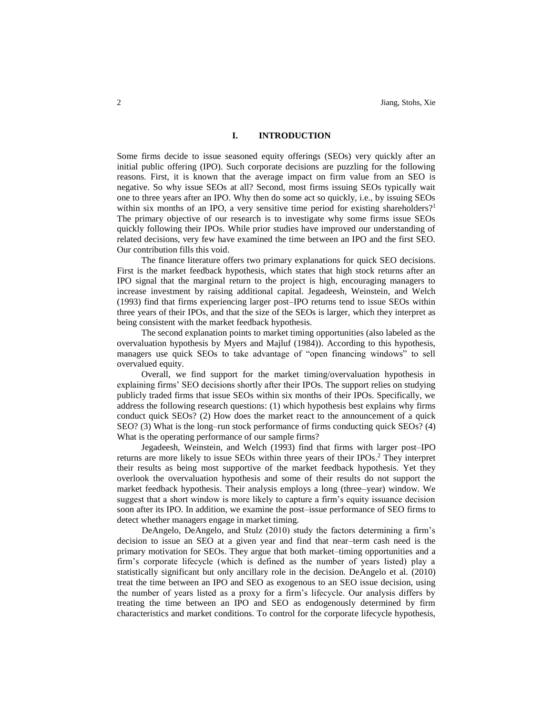### **I. INTRODUCTION**

Some firms decide to issue seasoned equity offerings (SEOs) very quickly after an initial public offering (IPO). Such corporate decisions are puzzling for the following reasons. First, it is known that the average impact on firm value from an SEO is negative. So why issue SEOs at all? Second, most firms issuing SEOs typically wait one to three years after an IPO. Why then do some act so quickly, i.e., by issuing SEOs within six months of an IPO, a very sensitive time period for existing shareholders?<sup>1</sup> The primary objective of our research is to investigate why some firms issue SEOs quickly following their IPOs. While prior studies have improved our understanding of related decisions, very few have examined the time between an IPO and the first SEO. Our contribution fills this void.

The finance literature offers two primary explanations for quick SEO decisions. First is the market feedback hypothesis, which states that high stock returns after an IPO signal that the marginal return to the project is high, encouraging managers to increase investment by raising additional capital. Jegadeesh, Weinstein, and Welch (1993) find that firms experiencing larger post–IPO returns tend to issue SEOs within three years of their IPOs, and that the size of the SEOs is larger, which they interpret as being consistent with the market feedback hypothesis.

The second explanation points to market timing opportunities (also labeled as the overvaluation hypothesis by Myers and Majluf (1984)). According to this hypothesis, managers use quick SEOs to take advantage of "open financing windows" to sell overvalued equity.

Overall, we find support for the market timing/overvaluation hypothesis in explaining firms' SEO decisions shortly after their IPOs. The support relies on studying publicly traded firms that issue SEOs within six months of their IPOs. Specifically, we address the following research questions: (1) which hypothesis best explains why firms conduct quick SEOs? (2) How does the market react to the announcement of a quick SEO? (3) What is the long–run stock performance of firms conducting quick SEOs? (4) What is the operating performance of our sample firms?

Jegadeesh, Weinstein, and Welch (1993) find that firms with larger post–IPO returns are more likely to issue SEOs within three years of their IPOs. <sup>2</sup> They interpret their results as being most supportive of the market feedback hypothesis. Yet they overlook the overvaluation hypothesis and some of their results do not support the market feedback hypothesis. Their analysis employs a long (three*–*year) window. We suggest that a short window is more likely to capture a firm's equity issuance decision soon after its IPO. In addition, we examine the post–issue performance of SEO firms to detect whether managers engage in market timing.

DeAngelo, DeAngelo, and Stulz (2010) study the factors determining a firm's decision to issue an SEO at a given year and find that near–term cash need is the primary motivation for SEOs. They argue that both market–timing opportunities and a firm's corporate lifecycle (which is defined as the number of years listed) play a statistically significant but only ancillary role in the decision. DeAngelo et al. (2010) treat the time between an IPO and SEO as exogenous to an SEO issue decision, using the number of years listed as a proxy for a firm's lifecycle. Our analysis differs by treating the time between an IPO and SEO as endogenously determined by firm characteristics and market conditions. To control for the corporate lifecycle hypothesis,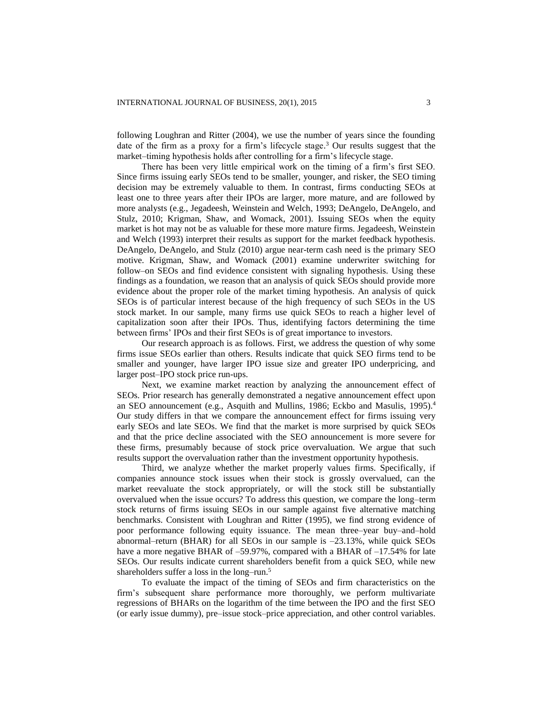following Loughran and Ritter (2004), we use the number of years since the founding date of the firm as a proxy for a firm's lifecycle stage. <sup>3</sup> Our results suggest that the market–timing hypothesis holds after controlling for a firm's lifecycle stage.

There has been very little empirical work on the timing of a firm's first SEO. Since firms issuing early SEOs tend to be smaller, younger, and risker, the SEO timing decision may be extremely valuable to them. In contrast, firms conducting SEOs at least one to three years after their IPOs are larger, more mature, and are followed by more analysts (e.g., Jegadeesh, Weinstein and Welch, 1993; DeAngelo, DeAngelo, and Stulz, 2010; Krigman, Shaw, and Womack, 2001). Issuing SEOs when the equity market is hot may not be as valuable for these more mature firms. Jegadeesh, Weinstein and Welch (1993) interpret their results as support for the market feedback hypothesis. DeAngelo, DeAngelo, and Stulz (2010) argue near-term cash need is the primary SEO motive. Krigman, Shaw, and Womack (2001) examine underwriter switching for follow–on SEOs and find evidence consistent with signaling hypothesis. Using these findings as a foundation, we reason that an analysis of quick SEOs should provide more evidence about the proper role of the market timing hypothesis. An analysis of quick SEOs is of particular interest because of the high frequency of such SEOs in the US stock market. In our sample, many firms use quick SEOs to reach a higher level of capitalization soon after their IPOs. Thus, identifying factors determining the time between firms' IPOs and their first SEOs is of great importance to investors.

Our research approach is as follows. First, we address the question of why some firms issue SEOs earlier than others. Results indicate that quick SEO firms tend to be smaller and younger, have larger IPO issue size and greater IPO underpricing, and larger post–IPO stock price run-ups.

Next, we examine market reaction by analyzing the announcement effect of SEOs. Prior research has generally demonstrated a negative announcement effect upon an SEO announcement (e.g., Asquith and Mullins, 1986; Eckbo and Masulis, 1995).<sup>4</sup> Our study differs in that we compare the announcement effect for firms issuing very early SEOs and late SEOs. We find that the market is more surprised by quick SEOs and that the price decline associated with the SEO announcement is more severe for these firms, presumably because of stock price overvaluation. We argue that such results support the overvaluation rather than the investment opportunity hypothesis.

Third, we analyze whether the market properly values firms. Specifically, if companies announce stock issues when their stock is grossly overvalued, can the market reevaluate the stock appropriately, or will the stock still be substantially overvalued when the issue occurs? To address this question, we compare the long–term stock returns of firms issuing SEOs in our sample against five alternative matching benchmarks. Consistent with Loughran and Ritter (1995), we find strong evidence of poor performance following equity issuance. The mean three–year buy–and–hold abnormal–return (BHAR) for all SEOs in our sample is –23.13%, while quick SEOs have a more negative BHAR of –59.97%, compared with a BHAR of –17.54% for late SEOs. Our results indicate current shareholders benefit from a quick SEO, while new shareholders suffer a loss in the long–run.<sup>5</sup>

To evaluate the impact of the timing of SEOs and firm characteristics on the firm's subsequent share performance more thoroughly, we perform multivariate regressions of BHARs on the logarithm of the time between the IPO and the first SEO (or early issue dummy), pre–issue stock–price appreciation, and other control variables.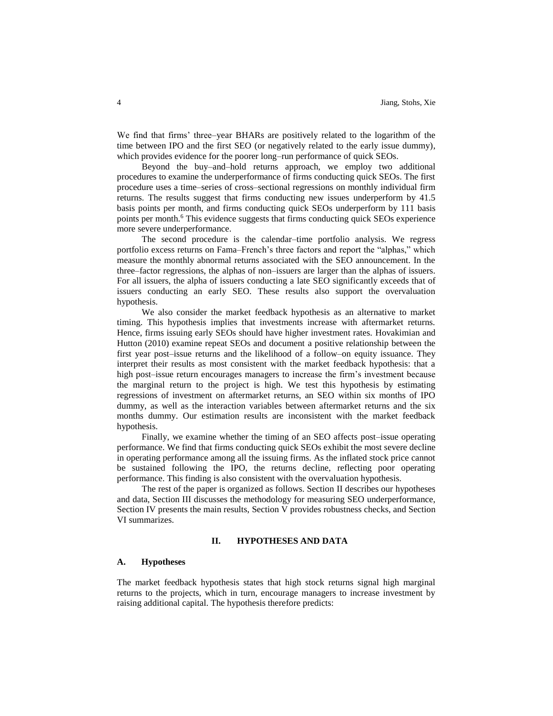We find that firms' three–year BHARs are positively related to the logarithm of the time between IPO and the first SEO (or negatively related to the early issue dummy), which provides evidence for the poorer long–run performance of quick SEOs.

Beyond the buy–and–hold returns approach, we employ two additional procedures to examine the underperformance of firms conducting quick SEOs. The first procedure uses a time–series of cross–sectional regressions on monthly individual firm returns. The results suggest that firms conducting new issues underperform by 41.5 basis points per month, and firms conducting quick SEOs underperform by 111 basis points per month.<sup>6</sup> This evidence suggests that firms conducting quick SEOs experience more severe underperformance.

The second procedure is the calendar–time portfolio analysis. We regress portfolio excess returns on Fama–French's three factors and report the "alphas," which measure the monthly abnormal returns associated with the SEO announcement. In the three–factor regressions, the alphas of non–issuers are larger than the alphas of issuers. For all issuers, the alpha of issuers conducting a late SEO significantly exceeds that of issuers conducting an early SEO. These results also support the overvaluation hypothesis.

We also consider the market feedback hypothesis as an alternative to market timing. This hypothesis implies that investments increase with aftermarket returns. Hence, firms issuing early SEOs should have higher investment rates. Hovakimian and Hutton (2010) examine repeat SEOs and document a positive relationship between the first year post–issue returns and the likelihood of a follow–on equity issuance. They interpret their results as most consistent with the market feedback hypothesis: that a high post–issue return encourages managers to increase the firm's investment because the marginal return to the project is high. We test this hypothesis by estimating regressions of investment on aftermarket returns, an SEO within six months of IPO dummy, as well as the interaction variables between aftermarket returns and the six months dummy. Our estimation results are inconsistent with the market feedback hypothesis.

Finally, we examine whether the timing of an SEO affects post–issue operating performance. We find that firms conducting quick SEOs exhibit the most severe decline in operating performance among all the issuing firms. As the inflated stock price cannot be sustained following the IPO, the returns decline, reflecting poor operating performance. This finding is also consistent with the overvaluation hypothesis.

The rest of the paper is organized as follows. Section II describes our hypotheses and data, Section III discusses the methodology for measuring SEO underperformance, Section IV presents the main results, Section V provides robustness checks, and Section VI summarizes.

#### **II. HYPOTHESES AND DATA**

#### **A. Hypotheses**

The market feedback hypothesis states that high stock returns signal high marginal returns to the projects, which in turn, encourage managers to increase investment by raising additional capital. The hypothesis therefore predicts: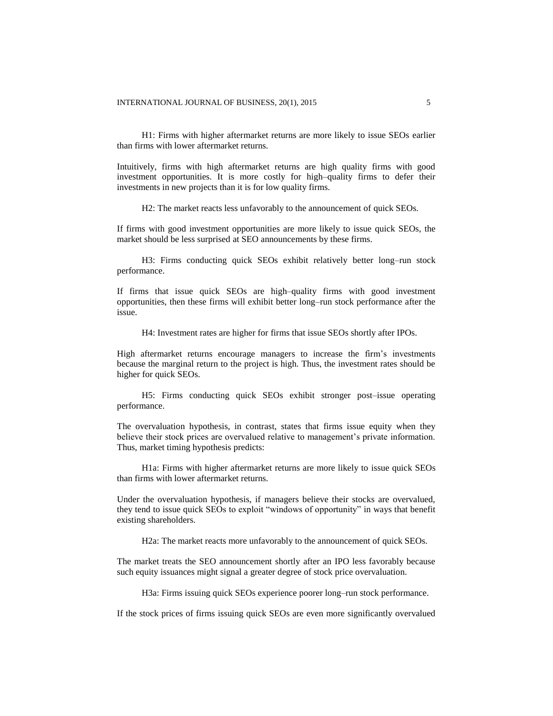H1: Firms with higher aftermarket returns are more likely to issue SEOs earlier than firms with lower aftermarket returns.

Intuitively, firms with high aftermarket returns are high quality firms with good investment opportunities. It is more costly for high–quality firms to defer their investments in new projects than it is for low quality firms.

H2: The market reacts less unfavorably to the announcement of quick SEOs.

If firms with good investment opportunities are more likely to issue quick SEOs, the market should be less surprised at SEO announcements by these firms.

H3: Firms conducting quick SEOs exhibit relatively better long–run stock performance.

If firms that issue quick SEOs are high–quality firms with good investment opportunities, then these firms will exhibit better long–run stock performance after the issue.

H4: Investment rates are higher for firms that issue SEOs shortly after IPOs.

High aftermarket returns encourage managers to increase the firm's investments because the marginal return to the project is high. Thus, the investment rates should be higher for quick SEOs.

H5: Firms conducting quick SEOs exhibit stronger post–issue operating performance.

The overvaluation hypothesis, in contrast, states that firms issue equity when they believe their stock prices are overvalued relative to management's private information. Thus, market timing hypothesis predicts:

H1a: Firms with higher aftermarket returns are more likely to issue quick SEOs than firms with lower aftermarket returns.

Under the overvaluation hypothesis, if managers believe their stocks are overvalued, they tend to issue quick SEOs to exploit "windows of opportunity" in ways that benefit existing shareholders.

H2a: The market reacts more unfavorably to the announcement of quick SEOs.

The market treats the SEO announcement shortly after an IPO less favorably because such equity issuances might signal a greater degree of stock price overvaluation.

H3a: Firms issuing quick SEOs experience poorer long–run stock performance.

If the stock prices of firms issuing quick SEOs are even more significantly overvalued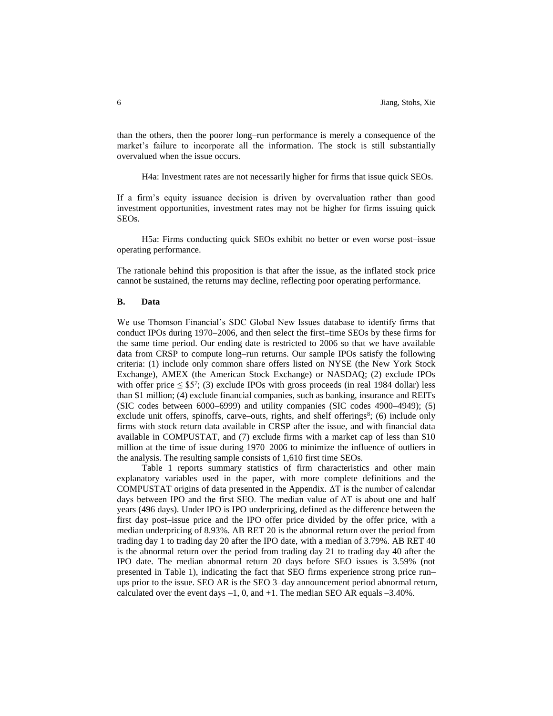than the others, then the poorer long–run performance is merely a consequence of the market's failure to incorporate all the information. The stock is still substantially overvalued when the issue occurs.

H4a: Investment rates are not necessarily higher for firms that issue quick SEOs.

If a firm's equity issuance decision is driven by overvaluation rather than good investment opportunities, investment rates may not be higher for firms issuing quick SEOs.

H5a: Firms conducting quick SEOs exhibit no better or even worse post–issue operating performance.

The rationale behind this proposition is that after the issue, as the inflated stock price cannot be sustained, the returns may decline, reflecting poor operating performance.

#### **B. Data**

We use Thomson Financial's SDC Global New Issues database to identify firms that conduct IPOs during 1970–2006, and then select the first–time SEOs by these firms for the same time period. Our ending date is restricted to 2006 so that we have available data from CRSP to compute long–run returns. Our sample IPOs satisfy the following criteria: (1) include only common share offers listed on NYSE (the New York Stock Exchange), AMEX (the American Stock Exchange) or NASDAQ; (2) exclude IPOs with offer price  $\leq$  \$5<sup>7</sup>; (3) exclude IPOs with gross proceeds (in real 1984 dollar) less than \$1 million; (4) exclude financial companies, such as banking, insurance and REITs (SIC codes between 6000–6999) and utility companies (SIC codes 4900–4949); (5) exclude unit offers, spinoffs, carve–outs, rights, and shelf offerings $s$ ; (6) include only firms with stock return data available in CRSP after the issue, and with financial data available in COMPUSTAT, and (7) exclude firms with a market cap of less than \$10 million at the time of issue during 1970–2006 to minimize the influence of outliers in the analysis. The resulting sample consists of 1,610 first time SEOs.

Table 1 reports summary statistics of firm characteristics and other main explanatory variables used in the paper, with more complete definitions and the COMPUSTAT origins of data presented in the Appendix. ΔT is the number of calendar days between IPO and the first SEO. The median value of ΔT is about one and half years (496 days). Under IPO is IPO underpricing, defined as the difference between the first day post–issue price and the IPO offer price divided by the offer price, with a median underpricing of 8.93%. AB RET 20 is the abnormal return over the period from trading day 1 to trading day 20 after the IPO date, with a median of 3.79%. AB RET 40 is the abnormal return over the period from trading day 21 to trading day 40 after the IPO date. The median abnormal return 20 days before SEO issues is 3.59% (not presented in Table 1), indicating the fact that SEO firms experience strong price run– ups prior to the issue. SEO AR is the SEO 3–day announcement period abnormal return, calculated over the event days  $-1$ , 0, and  $+1$ . The median SEO AR equals  $-3.40\%$ .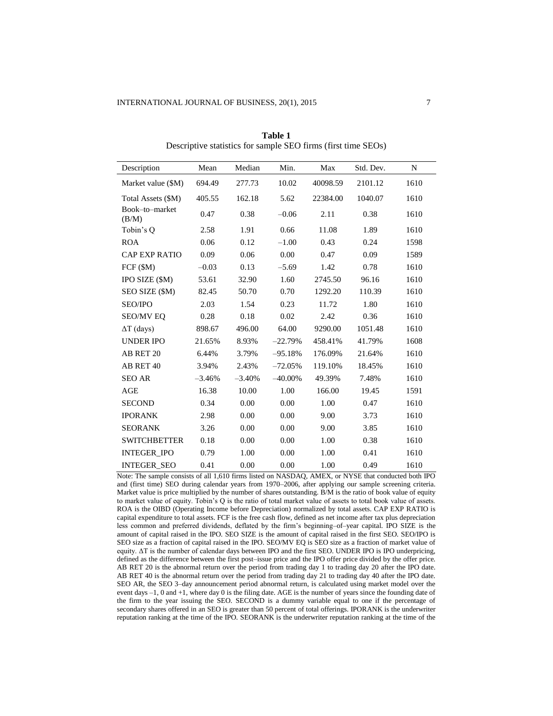| Description             | Mean     | Median   | Min.       | Max      | Std. Dev. | N    |
|-------------------------|----------|----------|------------|----------|-----------|------|
| Market value (\$M)      | 694.49   | 277.73   | 10.02      | 40098.59 | 2101.12   | 1610 |
| Total Assets (\$M)      | 405.55   | 162.18   | 5.62       | 22384.00 | 1040.07   | 1610 |
| Book-to-market<br>(B/M) | 0.47     | 0.38     | $-0.06$    | 2.11     | 0.38      | 1610 |
| Tobin's Q               | 2.58     | 1.91     | 0.66       | 11.08    | 1.89      | 1610 |
| <b>ROA</b>              | 0.06     | 0.12     | $-1.00$    | 0.43     | 0.24      | 1598 |
| CAP EXP RATIO           | 0.09     | 0.06     | 0.00       | 0.47     | 0.09      | 1589 |
| FCF (\$M)               | $-0.03$  | 0.13     | $-5.69$    | 1.42     | 0.78      | 1610 |
| IPO SIZE (\$M)          | 53.61    | 32.90    | 1.60       | 2745.50  | 96.16     | 1610 |
| SEO SIZE (\$M)          | 82.45    | 50.70    | 0.70       | 1292.20  | 110.39    | 1610 |
| <b>SEO/IPO</b>          | 2.03     | 1.54     | 0.23       | 11.72    | 1.80      | 1610 |
| <b>SEO/MV EO</b>        | 0.28     | 0.18     | 0.02       | 2.42     | 0.36      | 1610 |
| $\Delta T$ (days)       | 898.67   | 496.00   | 64.00      | 9290.00  | 1051.48   | 1610 |
| <b>UNDER IPO</b>        | 21.65%   | 8.93%    | $-22.79%$  | 458.41%  | 41.79%    | 1608 |
| AB RET 20               | 6.44%    | 3.79%    | $-95.18%$  | 176.09%  | 21.64%    | 1610 |
| AB RET 40               | 3.94%    | 2.43%    | $-72.05%$  | 119.10%  | 18.45%    | 1610 |
| <b>SEO AR</b>           | $-3.46%$ | $-3.40%$ | $-40.00\%$ | 49.39%   | 7.48%     | 1610 |
| AGE                     | 16.38    | 10.00    | 1.00       | 166.00   | 19.45     | 1591 |
| <b>SECOND</b>           | 0.34     | 0.00     | 0.00       | 1.00     | 0.47      | 1610 |
| <b>IPORANK</b>          | 2.98     | 0.00     | 0.00       | 9.00     | 3.73      | 1610 |
| <b>SEORANK</b>          | 3.26     | 0.00     | 0.00       | 9.00     | 3.85      | 1610 |
| <b>SWITCHBETTER</b>     | 0.18     | 0.00     | 0.00       | 1.00     | 0.38      | 1610 |
| <b>INTEGER IPO</b>      | 0.79     | 1.00     | 0.00       | 1.00     | 0.41      | 1610 |
| <b>INTEGER SEO</b>      | 0.41     | 0.00     | 0.00       | 1.00     | 0.49      | 1610 |

**Table 1** Descriptive statistics for sample SEO firms (first time SEOs)

Note: The sample consists of all 1,610 firms listed on NASDAQ, AMEX, or NYSE that conducted both IPO and (first time) SEO during calendar years from 1970–2006, after applying our sample screening criteria. Market value is price multiplied by the number of shares outstanding. B/M is the ratio of book value of equity to market value of equity. Tobin's Q is the ratio of total market value of assets to total book value of assets. ROA is the OIBD (Operating Income before Depreciation) normalized by total assets. CAP EXP RATIO is capital expenditure to total assets. FCF is the free cash flow, defined as net income after tax plus depreciation less common and preferred dividends, deflated by the firm's beginning–of–year capital. IPO SIZE is the amount of capital raised in the IPO. SEO SIZE is the amount of capital raised in the first SEO. SEO/IPO is SEO size as a fraction of capital raised in the IPO. SEO/MV EQ is SEO size as a fraction of market value of equity. ΔT is the number of calendar days between IPO and the first SEO. UNDER IPO is IPO underpricing, defined as the difference between the first post–issue price and the IPO offer price divided by the offer price. AB RET 20 is the abnormal return over the period from trading day 1 to trading day 20 after the IPO date. AB RET 40 is the abnormal return over the period from trading day 21 to trading day 40 after the IPO date. SEO AR, the SEO 3–day announcement period abnormal return, is calculated using market model over the event days –1, 0 and +1, where day 0 is the filing date. AGE is the number of years since the founding date of the firm to the year issuing the SEO. SECOND is a dummy variable equal to one if the percentage of secondary shares offered in an SEO is greater than 50 percent of total offerings. IPORANK is the underwriter reputation ranking at the time of the IPO. SEORANK is the underwriter reputation ranking at the time of the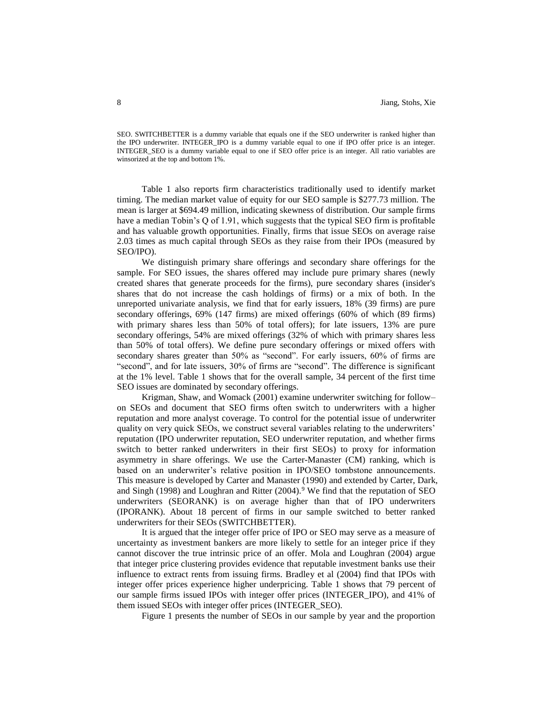SEO. SWITCHBETTER is a dummy variable that equals one if the SEO underwriter is ranked higher than the IPO underwriter. INTEGER\_IPO is a dummy variable equal to one if IPO offer price is an integer. INTEGER\_SEO is a dummy variable equal to one if SEO offer price is an integer. All ratio variables are winsorized at the top and bottom 1%.

Table 1 also reports firm characteristics traditionally used to identify market timing. The median market value of equity for our SEO sample is \$277.73 million. The mean is larger at \$694.49 million, indicating skewness of distribution. Our sample firms have a median Tobin's Q of 1.91, which suggests that the typical SEO firm is profitable and has valuable growth opportunities. Finally, firms that issue SEOs on average raise 2.03 times as much capital through SEOs as they raise from their IPOs (measured by SEO/IPO).

We distinguish primary share offerings and secondary share offerings for the sample. For SEO issues, the shares offered may include pure primary shares (newly created shares that generate proceeds for the firms), pure secondary shares (insider's shares that do not increase the cash holdings of firms) or a mix of both. In the unreported univariate analysis, we find that for early issuers, 18% (39 firms) are pure secondary offerings, 69% (147 firms) are mixed offerings (60% of which (89 firms) with primary shares less than 50% of total offers); for late issuers, 13% are pure secondary offerings, 54% are mixed offerings (32% of which with primary shares less than 50% of total offers). We define pure secondary offerings or mixed offers with secondary shares greater than 50% as "second". For early issuers, 60% of firms are "second", and for late issuers, 30% of firms are "second". The difference is significant at the 1% level. Table 1 shows that for the overall sample, 34 percent of the first time SEO issues are dominated by secondary offerings.

Krigman, Shaw, and Womack (2001) examine underwriter switching for follow– on SEOs and document that SEO firms often switch to underwriters with a higher reputation and more analyst coverage. To control for the potential issue of underwriter quality on very quick SEOs, we construct several variables relating to the underwriters' reputation (IPO underwriter reputation, SEO underwriter reputation, and whether firms switch to better ranked underwriters in their first SEOs) to proxy for information asymmetry in share offerings. We use the Carter-Manaster (CM) ranking, which is based on an underwriter's relative position in IPO/SEO tombstone announcements. This measure is developed by Carter and Manaster (1990) and extended by Carter, Dark, and Singh (1998) and Loughran and Ritter  $(2004)$ .<sup>9</sup> We find that the reputation of SEO underwriters (SEORANK) is on average higher than that of IPO underwriters (IPORANK). About 18 percent of firms in our sample switched to better ranked underwriters for their SEOs (SWITCHBETTER).

It is argued that the integer offer price of IPO or SEO may serve as a measure of uncertainty as investment bankers are more likely to settle for an integer price if they cannot discover the true intrinsic price of an offer. Mola and Loughran (2004) argue that integer price clustering provides evidence that reputable investment banks use their influence to extract rents from issuing firms. Bradley et al (2004) find that IPOs with integer offer prices experience higher underpricing. Table 1 shows that 79 percent of our sample firms issued IPOs with integer offer prices (INTEGER\_IPO), and 41% of them issued SEOs with integer offer prices (INTEGER\_SEO).

Figure 1 presents the number of SEOs in our sample by year and the proportion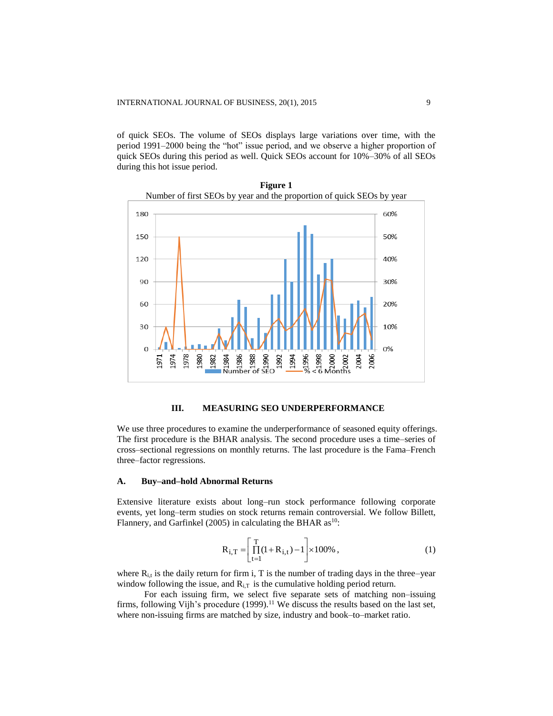of quick SEOs. The volume of SEOs displays large variations over time, with the period 1991–2000 being the "hot" issue period, and we observe a higher proportion of quick SEOs during this period as well. Quick SEOs account for 10%–30% of all SEOs during this hot issue period.



**Figure 1** Number of first SEOs by year and the proportion of quick SEOs by year

# **III. MEASURING SEO UNDERPERFORMANCE**

We use three procedures to examine the underperformance of seasoned equity offerings. The first procedure is the BHAR analysis. The second procedure uses a time–series of cross–sectional regressions on monthly returns. The last procedure is the Fama–French three–factor regressions.

#### **A. Buy–and–hold Abnormal Returns**

Extensive literature exists about long–run stock performance following corporate events, yet long–term studies on stock returns remain controversial. We follow Billett, Flannery, and Garfinkel (2005) in calculating the BHAR  $as<sup>10</sup>$ :

$$
\mathbf{R}_{i,T} = \left[ \prod_{t=1}^{T} (1 + \mathbf{R}_{i,t}) - 1 \right] \times 100\%, \qquad (1)
$$

where  $R_{i,t}$  is the daily return for firm i, T is the number of trading days in the three–year window following the issue, and  $R_{i,T}$  is the cumulative holding period return.

 For each issuing firm, we select five separate sets of matching non–issuing firms, following Vijh's procedure (1999).<sup>11</sup> We discuss the results based on the last set, where non-issuing firms are matched by size, industry and book–to–market ratio.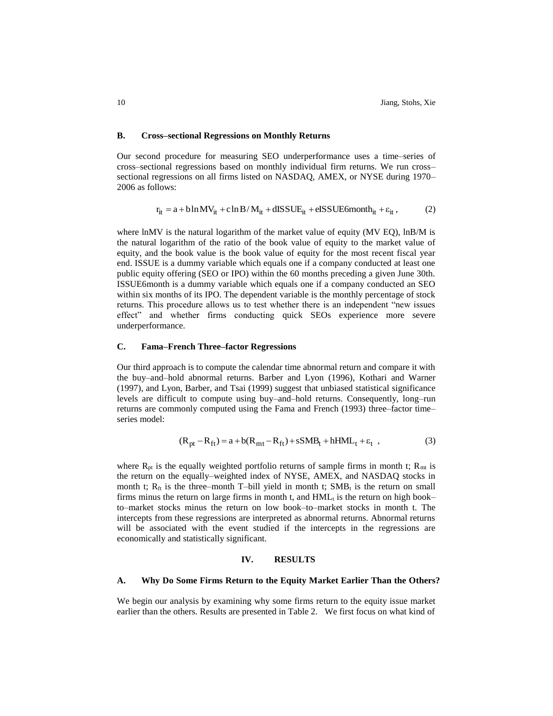#### **B. Cross–sectional Regressions on Monthly Returns**

Our second procedure for measuring SEO underperformance uses a time–series of cross–sectional regressions based on monthly individual firm returns. We run cross– sectional regressions on all firms listed on NASDAQ, AMEX, or NYSE during 1970– 2006 as follows:

$$
r_{it} = a + b \ln MV_{it} + c \ln B/M_{it} + dISSUE_{it} + eISSUE6month_{it} + \varepsilon_{it},
$$
 (2)

where lnMV is the natural logarithm of the market value of equity ( $MV \tEQ$ ), lnB/M is the natural logarithm of the ratio of the book value of equity to the market value of equity, and the book value is the book value of equity for the most recent fiscal year end. ISSUE is a dummy variable which equals one if a company conducted at least one public equity offering (SEO or IPO) within the 60 months preceding a given June 30th. ISSUE6month is a dummy variable which equals one if a company conducted an SEO within six months of its IPO. The dependent variable is the monthly percentage of stock returns. This procedure allows us to test whether there is an independent "new issues effect" and whether firms conducting quick SEOs experience more severe underperformance.

#### **C. Fama–French Three–factor Regressions**

Our third approach is to compute the calendar time abnormal return and compare it with the buy–and–hold abnormal returns. Barber and Lyon (1996), Kothari and Warner (1997), and Lyon, Barber, and Tsai (1999) suggest that unbiased statistical significance levels are difficult to compute using buy–and–hold returns. Consequently, long–run returns are commonly computed using the Fama and French (1993) three–factor time– series model:

$$
(Rpt - Rft) = a + b(Rmt - Rft) + sSMBt + hHMLt + \varepsilont , \t(3)
$$

where  $R_{pt}$  is the equally weighted portfolio returns of sample firms in month t;  $R_{mt}$  is the return on the equally–weighted index of NYSE, AMEX, and NASDAQ stocks in month t;  $R_{ft}$  is the three–month T–bill yield in month t;  $SMB_t$  is the return on small firms minus the return on large firms in month t, and  $HML<sub>t</sub>$  is the return on high book– to–market stocks minus the return on low book–to–market stocks in month t. The intercepts from these regressions are interpreted as abnormal returns. Abnormal returns will be associated with the event studied if the intercepts in the regressions are economically and statistically significant.

#### **IV. RESULTS**

#### **A. Why Do Some Firms Return to the Equity Market Earlier Than the Others?**

We begin our analysis by examining why some firms return to the equity issue market earlier than the others. Results are presented in Table 2. We first focus on what kind of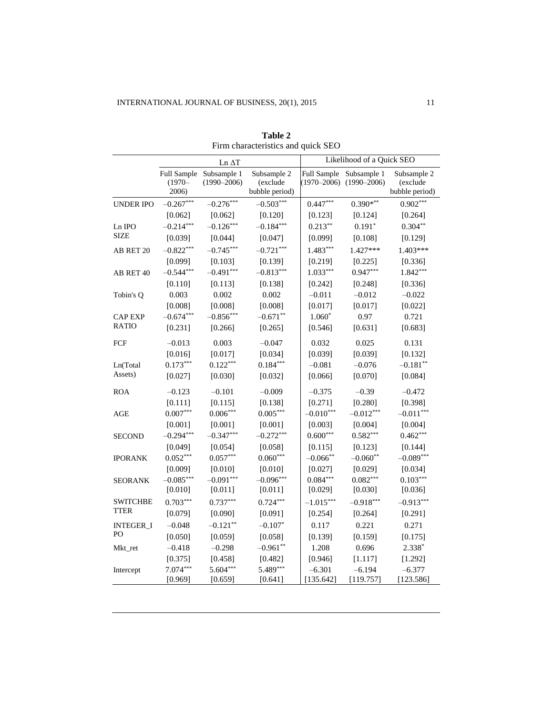|                                |                    | Ln ∆T                                      |                                           |             | Likelihood of a Quick SEO                              |                                           |
|--------------------------------|--------------------|--------------------------------------------|-------------------------------------------|-------------|--------------------------------------------------------|-------------------------------------------|
|                                | $(1970 -$<br>2006) | Full Sample Subsample 1<br>$(1990 - 2006)$ | Subsample 2<br>(exclude<br>bubble period) |             | Full Sample Subsample 1<br>$(1970-2006)$ $(1990-2006)$ | Subsample 2<br>(exclude<br>bubble period) |
| <b>UNDER IPO</b>               | $-0.267***$        | $-0.276***$                                | $-0.503***$                               | $0.447***$  | $0.390**$                                              | $0.902***$                                |
|                                | [0.062]            | [0.062]                                    | [0.120]                                   | [0.123]     | [0.124]                                                | [0.264]                                   |
| Ln IPO                         | $-0.214***$        | $-0.126***$                                | $-0.184***$                               | $0.213***$  | $0.191*$                                               | $0.304**$                                 |
| <b>SIZE</b>                    | [0.039]            | [0.044]                                    | [0.047]                                   | [0.099]     | [0.108]                                                | [0.129]                                   |
| AB RET 20                      | $-0.822***$        | $-0.745***$                                | $-0.721***$                               | $1.483***$  | 1.427***                                               | 1.403***                                  |
|                                | [0.099]            | [0.103]                                    | [0.139]                                   | [0.219]     | [0.225]                                                | [0.336]                                   |
| AB RET 40                      | $-0.544***$        | $-0.491***$                                | $-0.813***$                               | $1.033***$  | $0.947***$                                             | $1.842***$                                |
|                                | [0.110]            | [0.113]                                    | [0.138]                                   | [0.242]     | [0.248]                                                | [0.336]                                   |
| Tobin's Q                      | 0.003              | 0.002                                      | 0.002                                     | $-0.011$    | $-0.012$                                               | $-0.022$                                  |
|                                | [0.008]            | [0.008]                                    | [0.008]                                   | [0.017]     | [0.017]                                                | [0.022]                                   |
| <b>CAP EXP</b>                 | $-0.674***$        | $-0.856***$                                | $-0.671**$                                | $1.060*$    | 0.97                                                   | 0.721                                     |
| <b>RATIO</b>                   | [0.231]            | [0.266]                                    | [0.265]                                   | [0.546]     | [0.631]                                                | [0.683]                                   |
| FCF                            | $-0.013$           | 0.003                                      | $-0.047$                                  | 0.032       | 0.025                                                  | 0.131                                     |
|                                | [0.016]            | [0.017]                                    | [0.034]                                   | [0.039]     | [0.039]                                                | [0.132]                                   |
| Ln(Total                       | $0.173***$         | $0.122***$                                 | $0.184***$                                | $-0.081$    | $-0.076$                                               | $-0.181**$                                |
| Assets)                        | [0.027]            | [0.030]                                    | [0.032]                                   | [0.066]     | [0.070]                                                | [0.084]                                   |
| <b>ROA</b>                     | $-0.123$           | $-0.101$                                   | $-0.009$                                  | $-0.375$    | $-0.39$                                                | $-0.472$                                  |
|                                | [0.111]            | [0.115]                                    | [0.138]                                   | [0.271]     | [0.280]                                                | [0.398]                                   |
| AGE                            | $0.007***$         | $0.006***$                                 | $0.005***$                                | $-0.010***$ | $-0.012***$                                            | $-0.011***$                               |
|                                | [0.001]            | [0.001]                                    | [0.001]                                   | [0.003]     | [0.004]                                                | [0.004]                                   |
| <b>SECOND</b>                  | $-0.294***$        | $-0.347***$                                | $-0.272***$                               | $0.600***$  | $0.582***$                                             | $0.462***$                                |
|                                | [0.049]            | [0.054]                                    | [0.058]                                   | [0.115]     | [0.123]                                                | [0.144]                                   |
| <b>IPORANK</b>                 | $0.052***$         | $0.057***$                                 | $0.060***$                                | $-0.066$ ** | $-0.060**$                                             | $-0.089***$                               |
|                                | [0.009]            | [0.010]                                    | [0.010]                                   | [0.027]     | [0.029]                                                | [0.034]                                   |
| <b>SEORANK</b>                 | $-0.085***$        | $-0.091***$                                | $-0.096***$                               | $0.084***$  | $0.082***$                                             | $0.103***$                                |
|                                | [0.010]            | [0.011]                                    | [0.011]                                   | [0.029]     | [0.030]                                                | [0.036]                                   |
| <b>SWITCHBE</b><br><b>TTER</b> | $0.703***$         | $0.737***$                                 | $0.724***$                                | $-1.015***$ | $-0.918***$                                            | $-0.913***$                               |
|                                | [0.079]            | [0.090]                                    | [0.091]                                   | [0.254]     | [0.264]                                                | [0.291]                                   |
| <b>INTEGER_I</b>               | $-0.048$           | $-0.121**$                                 | $-0.107*$                                 | 0.117       | 0.221                                                  | 0.271                                     |
| PO                             | [0.050]            | [0.059]                                    | [0.058]                                   | [0.139]     | [0.159]                                                | [0.175]                                   |
| Mkt_ret                        | $-0.418$           | $-0.298$                                   | $-0.961**$                                | 1.208       | 0.696                                                  | $2.338*$                                  |
|                                | [0.375]            | [0.458]                                    | [0.482]                                   | [0.946]     | [1.117]                                                | [1.292]                                   |
| Intercept                      | $7.074***$         | 5.604***                                   | 5.489***                                  | $-6.301$    | $-6.194$                                               | $-6.377$                                  |
|                                | [0.969]            | [0.659]                                    | [0.641]                                   | [135.642]   | [119.757]                                              | [123.586]                                 |

**Table 2** Firm characteristics and quick SEO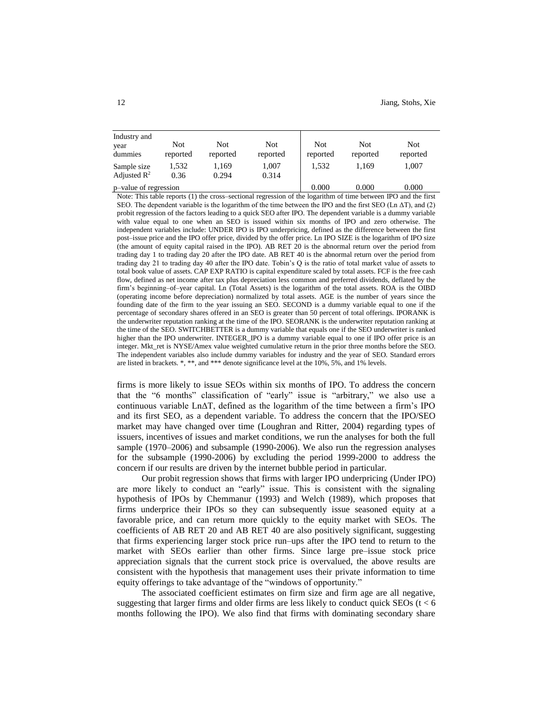| Industry and<br>year<br>dummies        | Not<br>reported | <b>Not</b><br>reported | Not<br>reported | <b>Not</b><br>reported | Not<br>reported | <b>Not</b><br>reported |  |
|----------------------------------------|-----------------|------------------------|-----------------|------------------------|-----------------|------------------------|--|
| Sample size<br>Adjusted $\mathbb{R}^2$ | 1.532<br>0.36   | 1.169<br>0.294         | 1,007<br>0.314  | 1.532                  | 1.169           | 1.007                  |  |
| p-value of regression                  |                 |                        |                 | 0.000                  | 0.000           | 0.000                  |  |

Note: This table reports (1) the cross–sectional regression of the logarithm of time between IPO and the first SEO. The dependent variable is the logarithm of the time between the IPO and the first SEO (Ln ΔT), and (2) probit regression of the factors leading to a quick SEO after IPO. The dependent variable is a dummy variable with value equal to one when an SEO is issued within six months of IPO and zero otherwise. The independent variables include: UNDER IPO is IPO underpricing, defined as the difference between the first post–issue price and the IPO offer price, divided by the offer price. Ln IPO SIZE is the logarithm of IPO size (the amount of equity capital raised in the IPO). AB RET 20 is the abnormal return over the period from trading day 1 to trading day 20 after the IPO date. AB RET 40 is the abnormal return over the period from trading day 21 to trading day 40 after the IPO date. Tobin's Q is the ratio of total market value of assets to total book value of assets. CAP EXP RATIO is capital expenditure scaled by total assets. FCF is the free cash flow, defined as net income after tax plus depreciation less common and preferred dividends, deflated by the firm's beginning–of–year capital. Ln (Total Assets) is the logarithm of the total assets. ROA is the OIBD (operating income before depreciation) normalized by total assets. AGE is the number of years since the founding date of the firm to the year issuing an SEO. SECOND is a dummy variable equal to one if the percentage of secondary shares offered in an SEO is greater than 50 percent of total offerings. IPORANK is the underwriter reputation ranking at the time of the IPO. SEORANK is the underwriter reputation ranking at the time of the SEO. SWITCHBETTER is a dummy variable that equals one if the SEO underwriter is ranked higher than the IPO underwriter. INTEGER\_IPO is a dummy variable equal to one if IPO offer price is an integer. Mkt ret is NYSE/Amex value weighted cumulative return in the prior three months before the SEO. The independent variables also include dummy variables for industry and the year of SEO. Standard errors are listed in brackets. \*, \*\*, and \*\*\* denote significance level at the 10%, 5%, and 1% levels.

firms is more likely to issue SEOs within six months of IPO. To address the concern that the "6 months" classification of "early" issue is "arbitrary," we also use a continuous variable LnΔT, defined as the logarithm of the time between a firm's IPO and its first SEO, as a dependent variable. To address the concern that the IPO/SEO market may have changed over time (Loughran and Ritter, 2004) regarding types of issuers, incentives of issues and market conditions, we run the analyses for both the full sample (1970–2006) and subsample (1990-2006). We also run the regression analyses for the subsample (1990-2006) by excluding the period 1999-2000 to address the concern if our results are driven by the internet bubble period in particular.

Our probit regression shows that firms with larger IPO underpricing (Under IPO) are more likely to conduct an "early" issue. This is consistent with the signaling hypothesis of IPOs by Chemmanur (1993) and Welch (1989), which proposes that firms underprice their IPOs so they can subsequently issue seasoned equity at a favorable price, and can return more quickly to the equity market with SEOs. The coefficients of AB RET 20 and AB RET 40 are also positively significant, suggesting that firms experiencing larger stock price run–ups after the IPO tend to return to the market with SEOs earlier than other firms. Since large pre–issue stock price appreciation signals that the current stock price is overvalued, the above results are consistent with the hypothesis that management uses their private information to time equity offerings to take advantage of the "windows of opportunity."

The associated coefficient estimates on firm size and firm age are all negative, suggesting that larger firms and older firms are less likely to conduct quick  $SEOs$  (t < 6 months following the IPO). We also find that firms with dominating secondary share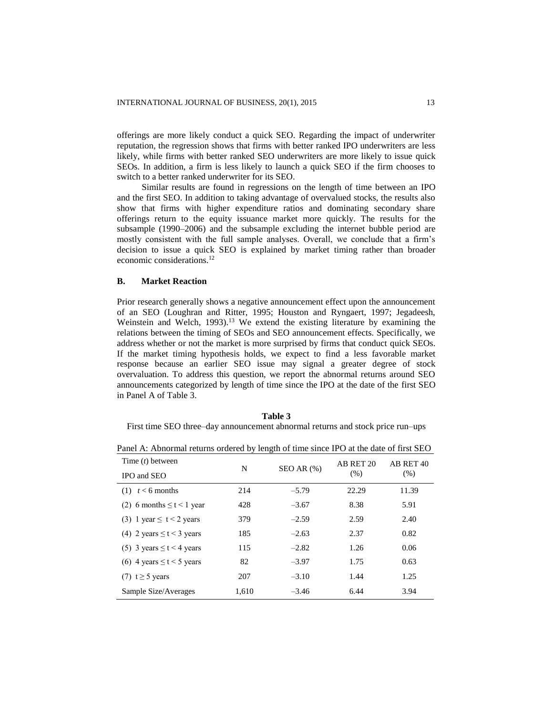offerings are more likely conduct a quick SEO. Regarding the impact of underwriter reputation, the regression shows that firms with better ranked IPO underwriters are less likely, while firms with better ranked SEO underwriters are more likely to issue quick SEOs. In addition, a firm is less likely to launch a quick SEO if the firm chooses to switch to a better ranked underwriter for its SEO.

Similar results are found in regressions on the length of time between an IPO and the first SEO. In addition to taking advantage of overvalued stocks, the results also show that firms with higher expenditure ratios and dominating secondary share offerings return to the equity issuance market more quickly. The results for the subsample (1990–2006) and the subsample excluding the internet bubble period are mostly consistent with the full sample analyses. Overall, we conclude that a firm's decision to issue a quick SEO is explained by market timing rather than broader economic considerations.<sup>12</sup>

#### **B. Market Reaction**

Prior research generally shows a negative announcement effect upon the announcement of an SEO (Loughran and Ritter, 1995; Houston and Ryngaert, 1997; Jegadeesh, Weinstein and Welch, 1993).<sup>13</sup> We extend the existing literature by examining the relations between the timing of SEOs and SEO announcement effects. Specifically, we address whether or not the market is more surprised by firms that conduct quick SEOs. If the market timing hypothesis holds, we expect to find a less favorable market response because an earlier SEO issue may signal a greater degree of stock overvaluation. To address this question, we report the abnormal returns around SEO announcements categorized by length of time since the IPO at the date of the first SEO in Panel A of Table 3.

**Table 3** First time SEO three–day announcement abnormal returns and stock price run–ups

Panel A: Abnormal returns ordered by length of time since IPO at the date of first SEO

| Time $(t)$ between             |       |                | AB RET 20 | AB RET 40 |  |
|--------------------------------|-------|----------------|-----------|-----------|--|
| IPO and SEO                    | N     | $SEOAR$ $(\%)$ | (% )      | $(\% )$   |  |
| $t < 6$ months<br>(1)          | 214   | $-5.79$        | 22.29     | 11.39     |  |
| (2) 6 months $\leq t < 1$ year | 428   | $-3.67$        | 8.38      | 5.91      |  |
| (3) 1 year $\leq t < 2$ years  | 379   | $-2.59$        | 2.59      | 2.40      |  |
| (4) 2 years $\leq t < 3$ years | 185   | $-2.63$        | 2.37      | 0.82      |  |
| (5) 3 years $\leq t < 4$ years | 115   | $-2.82$        | 1.26      | 0.06      |  |
| (6) 4 years $\leq t < 5$ years | 82    | $-3.97$        | 1.75      | 0.63      |  |
| $(7)$ t $\geq$ 5 years         | 207   | $-3.10$        | 1.44      | 1.25      |  |
| Sample Size/Averages           | 1,610 | $-3.46$        | 6.44      | 3.94      |  |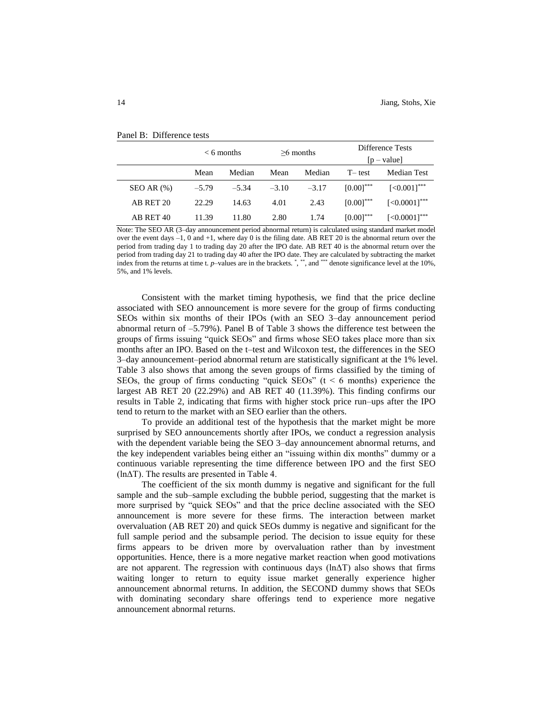|                |         | $< 6$ months |         | $>6$ months |                | Difference Tests<br>$[p - value]$ |
|----------------|---------|--------------|---------|-------------|----------------|-----------------------------------|
|                | Mean    | Median       | Mean    | Median      | $T$ test       | Median Test                       |
| $SEOAR$ $(\%)$ | $-5.79$ | $-5.34$      | $-3.10$ | $-3.17$     | $[0.00]^{***}$ | $[-0.001]^{***}$                  |
| AB RET 20      | 22.29   | 14.63        | 4.01    | 2.43        | $[0.00]^{***}$ | $[<0.0001]$ ***                   |
| AB RET 40      | 11.39   | 11.80        | 2.80    | 1.74        | $[0.00]^{***}$ | $\left[ < 0.0001 \right]$ ***     |

#### Panel B: Difference tests

Note: The SEO AR (3–day announcement period abnormal return) is calculated using standard market model over the event days –1, 0 and +1, where day 0 is the filing date. AB RET 20 is the abnormal return over the period from trading day 1 to trading day 20 after the IPO date. AB RET 40 is the abnormal return over the period from trading day 21 to trading day 40 after the IPO date. They are calculated by subtracting the market index from the returns at time t. *p*–values are in the brackets. \*, \*\*, and \*\*\* denote significance level at the 10%, 5%, and 1% levels.

Consistent with the market timing hypothesis, we find that the price decline associated with SEO announcement is more severe for the group of firms conducting SEOs within six months of their IPOs (with an SEO 3–day announcement period abnormal return of –5.79%). Panel B of Table 3 shows the difference test between the groups of firms issuing "quick SEOs" and firms whose SEO takes place more than six months after an IPO. Based on the t–test and Wilcoxon test, the differences in the SEO 3–day announcement–period abnormal return are statistically significant at the 1% level. Table 3 also shows that among the seven groups of firms classified by the timing of SEOs, the group of firms conducting "quick SEOs"  $(t < 6$  months) experience the largest AB RET 20 (22.29%) and AB RET 40 (11.39%). This finding confirms our results in Table 2, indicating that firms with higher stock price run–ups after the IPO tend to return to the market with an SEO earlier than the others.

To provide an additional test of the hypothesis that the market might be more surprised by SEO announcements shortly after IPOs, we conduct a regression analysis with the dependent variable being the SEO 3–day announcement abnormal returns, and the key independent variables being either an "issuing within dix months" dummy or a continuous variable representing the time difference between IPO and the first SEO (lnΔT). The results are presented in Table 4.

The coefficient of the six month dummy is negative and significant for the full sample and the sub–sample excluding the bubble period, suggesting that the market is more surprised by "quick SEOs" and that the price decline associated with the SEO announcement is more severe for these firms. The interaction between market overvaluation (AB RET 20) and quick SEOs dummy is negative and significant for the full sample period and the subsample period. The decision to issue equity for these firms appears to be driven more by overvaluation rather than by investment opportunities. Hence, there is a more negative market reaction when good motivations are not apparent. The regression with continuous days  $(\ln \Delta T)$  also shows that firms waiting longer to return to equity issue market generally experience higher announcement abnormal returns. In addition, the SECOND dummy shows that SEOs with dominating secondary share offerings tend to experience more negative announcement abnormal returns.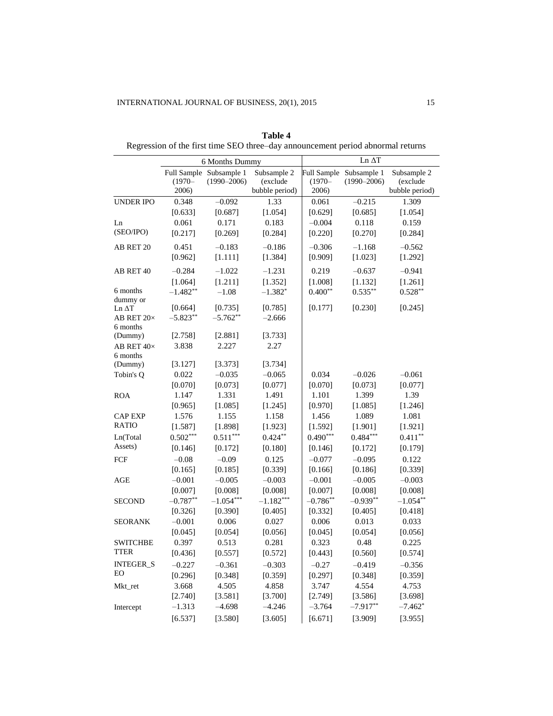|                                       |                             | 6 Months Dummy                             |                                           |                                | Ln $\Delta T$                              |                                           |
|---------------------------------------|-----------------------------|--------------------------------------------|-------------------------------------------|--------------------------------|--------------------------------------------|-------------------------------------------|
|                                       | $(1970 -$<br>2006)          | Full Sample Subsample 1<br>$(1990 - 2006)$ | Subsample 2<br>(exclude<br>bubble period) | $(1970 -$<br>2006)             | Full Sample Subsample 1<br>$(1990 - 2006)$ | Subsample 2<br>(exclude<br>bubble period) |
| <b>UNDER IPO</b>                      | 0.348                       | $-0.092$                                   | 1.33                                      | 0.061                          | $-0.215$                                   | 1.309                                     |
| Ln<br>(SEO/IPO)                       | [0.633]<br>0.061<br>[0.217] | [0.687]<br>0.171<br>[0.269]                | [1.054]<br>0.183<br>[0.284]               | [0.629]<br>$-0.004$<br>[0.220] | [0.685]<br>0.118<br>[0.270]                | [1.054]<br>0.159<br>[0.284]               |
| AB RET 20                             | 0.451                       | $-0.183$                                   | $-0.186$                                  | $-0.306$                       | $-1.168$                                   | $-0.562$                                  |
|                                       | [0.962]                     | [1.111]                                    | [1.384]                                   | [0.909]                        | [1.023]                                    | [1.292]                                   |
| AB RET 40                             | $-0.284$                    | $-1.022$                                   | $-1.231$                                  | 0.219                          | $-0.637$                                   | $-0.941$                                  |
|                                       | [1.064]                     | [1.211]                                    | [1.352]                                   | [1.008]                        | [1.132]                                    | [1.261]                                   |
| 6 months<br>dummy or<br>$Ln \Delta T$ | $-1.482**$<br>[0.664]       | $-1.08$<br>[0.735]                         | $-1.382*$<br>[0.785]                      | $0.400**$<br>[0.177]           | $0.535***$<br>[0.230]                      | $0.528**$<br>[0.245]                      |
| AB RET 20×<br>6 months                | $-5.823**$                  | $-5.762**$                                 | $-2.666$                                  |                                |                                            |                                           |
| (Dummy)<br>AB RET 40×<br>6 months     | [2.758]<br>3.838            | [2.881]<br>2.227                           | [3.733]<br>2.27                           |                                |                                            |                                           |
| (Dummy)<br>Tobin's O                  | [3.127]<br>0.022            | [3.373]<br>$-0.035$                        | [3.734]<br>$-0.065$                       | 0.034                          | $-0.026$                                   | $-0.061$                                  |
| <b>ROA</b>                            | [0.070]                     | [0.073]                                    | [0.077]                                   | [0.070]                        | [0.073]                                    | [0.077]                                   |
|                                       | 1.147                       | 1.331                                      | 1.491                                     | 1.101                          | 1.399                                      | 1.39                                      |
| <b>CAP EXP</b><br><b>RATIO</b>        | [0.965]<br>1.576<br>[1.587] | [1.085]<br>1.155<br>[1.898]                | [1.245]<br>1.158<br>[1.923]               | [0.970]<br>1.456<br>[1.592]    | [1.085]<br>1.089<br>[1.901]                | [1.246]<br>1.081<br>[1.921]               |
| Ln(Total                              | $0.502***$                  | $0.511***$                                 | $0.424**$                                 | $0.490***$                     | $0.484***$                                 | $0.411***$                                |
| Assets)                               | [0.146]                     | [0.172]                                    | [0.180]                                   | [0.146]                        | [0.172]                                    | [0.179]                                   |
| FCF                                   | $-0.08$                     | $-0.09$                                    | 0.125                                     | $-0.077$                       | $-0.095$                                   | 0.122                                     |
|                                       | [0.165]                     | [0.185]                                    | [0.339]                                   | [0.166]                        | [0.186]                                    | [0.339]                                   |
| <b>AGE</b>                            | $-0.001$                    | $-0.005$                                   | $-0.003$                                  | $-0.001$                       | $-0.005$                                   | $-0.003$                                  |
|                                       | [0.007]                     | [0.008]                                    | [0.008]                                   | [0.007]                        | [0.008]                                    | [0.008]                                   |
| <b>SECOND</b>                         | $-0.787**$                  | $-1.054***$                                | $-1.182***$                               | $-0.786**$                     | $-0.939**$                                 | $-1.054**$                                |
|                                       | [0.326]                     | [0.390]                                    | [0.405]                                   | [0.332]                        | [0.405]                                    | [0.418]                                   |
| <b>SEORANK</b>                        | $-0.001$                    | 0.006                                      | 0.027                                     | 0.006                          | 0.013                                      | 0.033                                     |
|                                       | [0.045]                     | [0.054]                                    | [0.056]                                   | [0.045]                        | [0.054]                                    | [0.056]                                   |
| <b>SWITCHBE</b>                       | 0.397                       | 0.513                                      | 0.281                                     | 0.323                          | 0.48                                       | 0.225                                     |
| <b>TTER</b>                           | [0.436]                     | [0.557]                                    | [0.572]                                   | [0.443]                        | [0.560]                                    | [0.574]                                   |
| <b>INTEGER S</b>                      | $-0.227$                    | $-0.361$                                   | $-0.303$                                  | $-0.27$                        | $-0.419$                                   | $-0.356$                                  |
| EO                                    | [0.296]                     | [0.348]                                    | [0.359]                                   | [0.297]                        | [0.348]                                    | [0.359]                                   |
| Mkt_ret                               | 3.668                       | 4.505                                      | 4.858                                     | 3.747                          | 4.554                                      | 4.753                                     |
|                                       | [2.740]                     | [3.581]                                    | [3.700]                                   | [2.749]                        | [3.586]                                    | [3.698]                                   |
| Intercept                             | $-1.313$                    | $-4.698$                                   | $-4.246$                                  | $-3.764$                       | $-7.917**$                                 | $-7.462*$                                 |
|                                       | [6.537]                     | [3.580]                                    | [3.605]                                   | [6.671]                        | [3.909]                                    | [3.955]                                   |

**Table 4** Regression of the first time SEO three–day announcement period abnormal returns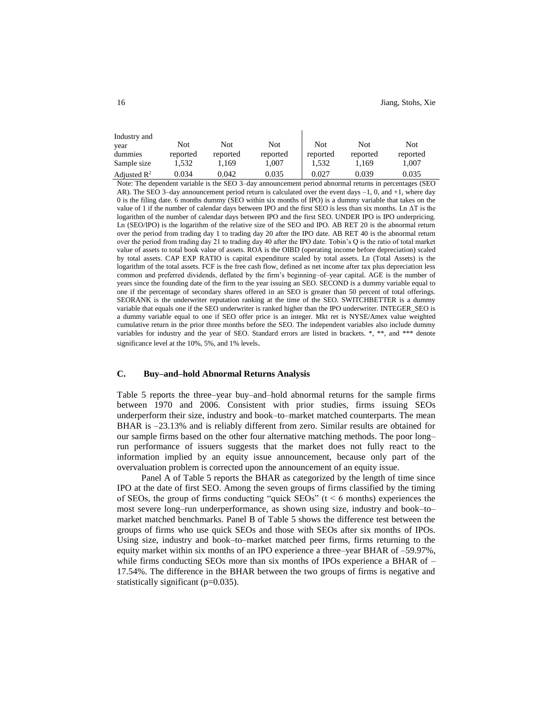| Industry and            |          |          |          |            |            |          |
|-------------------------|----------|----------|----------|------------|------------|----------|
| vear                    | Not      | Not      | Not      | <b>Not</b> | <b>Not</b> | Not      |
| dummies                 | reported | reported | reported | reported   | reported   | reported |
| Sample size             | .532     | 1.169    | 1,007    | 1.532      | 1.169      | 1,007    |
| Adjusted $\mathbb{R}^2$ | 0.034    | 0.042    | 0.035    | 0.027      | 0.039      | 0.035    |
|                         |          |          |          |            |            |          |

Note: The dependent variable is the SEO 3–day announcement period abnormal returns in percentages (SEO AR). The SEO 3–day announcement period return is calculated over the event days –1, 0, and +1, where day 0 is the filing date. 6 months dummy (SEO within six months of IPO) is a dummy variable that takes on the value of 1 if the number of calendar days between IPO and the first SEO is less than six months. Ln ΔT is the logarithm of the number of calendar days between IPO and the first SEO. UNDER IPO is IPO underpricing. Ln (SEO/IPO) is the logarithm of the relative size of the SEO and IPO. AB RET 20 is the abnormal return over the period from trading day 1 to trading day 20 after the IPO date. AB RET 40 is the abnormal return over the period from trading day 21 to trading day 40 after the IPO date. Tobin's Q is the ratio of total market value of assets to total book value of assets. ROA is the OIBD (operating income before depreciation) scaled by total assets. CAP EXP RATIO is capital expenditure scaled by total assets. Ln (Total Assets) is the logarithm of the total assets. FCF is the free cash flow, defined as net income after tax plus depreciation less common and preferred dividends, deflated by the firm's beginning–of–year capital. AGE is the number of years since the founding date of the firm to the year issuing an SEO. SECOND is a dummy variable equal to one if the percentage of secondary shares offered in an SEO is greater than 50 percent of total offerings. SEORANK is the underwriter reputation ranking at the time of the SEO. SWITCHBETTER is a dummy variable that equals one if the SEO underwriter is ranked higher than the IPO underwriter. INTEGER\_SEO is a dummy variable equal to one if SEO offer price is an integer. Mkt ret is NYSE/Amex value weighted cumulative return in the prior three months before the SEO. The independent variables also include dummy variables for industry and the year of SEO. Standard errors are listed in brackets. \*, \*\*, and \*\*\* denote significance level at the 10%, 5%, and 1% levels.

#### **C. Buy–and–hold Abnormal Returns Analysis**

Table 5 reports the three–year buy–and–hold abnormal returns for the sample firms between 1970 and 2006. Consistent with prior studies, firms issuing SEOs underperform their size, industry and book–to–market matched counterparts. The mean BHAR is –23.13% and is reliably different from zero. Similar results are obtained for our sample firms based on the other four alternative matching methods. The poor long– run performance of issuers suggests that the market does not fully react to the information implied by an equity issue announcement, because only part of the overvaluation problem is corrected upon the announcement of an equity issue.

Panel A of Table 5 reports the BHAR as categorized by the length of time since IPO at the date of first SEO. Among the seven groups of firms classified by the timing of SEOs, the group of firms conducting "quick SEOs" ( $t < 6$  months) experiences the most severe long–run underperformance, as shown using size, industry and book–to– market matched benchmarks. Panel B of Table 5 shows the difference test between the groups of firms who use quick SEOs and those with SEOs after six months of IPOs. Using size, industry and book–to–market matched peer firms, firms returning to the equity market within six months of an IPO experience a three–year BHAR of –59.97%, while firms conducting SEOs more than six months of IPOs experience a BHAR of – 17.54%. The difference in the BHAR between the two groups of firms is negative and statistically significant (p=0.035).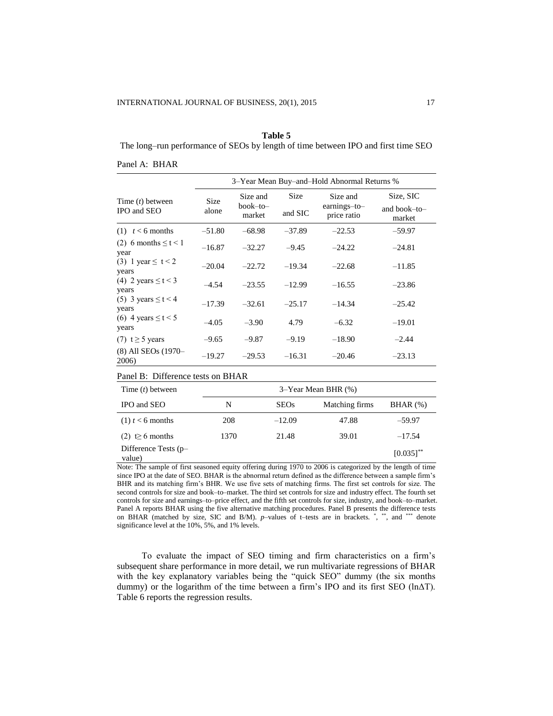#### **Table 5**

The long–run performance of SEOs by length of time between IPO and first time SEO

|  | Panel A: BHAR |  |
|--|---------------|--|
|  |               |  |

|                                   | 3–Year Mean Buy–and–Hold Abnormal Returns % |                                |                 |                                         |                                     |
|-----------------------------------|---------------------------------------------|--------------------------------|-----------------|-----------------------------------------|-------------------------------------|
| Time $(t)$ between<br>IPO and SEO | <b>Size</b><br>alone                        | Size and<br>book-to-<br>market | Size<br>and SIC | Size and<br>earnings-to-<br>price ratio | Size, SIC<br>and book-to-<br>market |
| $(1)$ $t < 6$ months              | $-51.80$                                    | $-68.98$                       | $-37.89$        | $-22.53$                                | $-59.97$                            |
| (2) 6 months $\leq t < 1$<br>year | $-16.87$                                    | $-32.27$                       | $-9.45$         | $-24.22$                                | $-24.81$                            |
| (3) 1 year $\le t < 2$<br>years   | $-20.04$                                    | $-22.72$                       | $-19.34$        | $-22.68$                                | $-11.85$                            |
| (4) 2 years $\leq t < 3$<br>years | $-4.54$                                     | $-23.55$                       | $-12.99$        | $-16.55$                                | $-23.86$                            |
| (5) 3 years $\leq t < 4$<br>years | $-17.39$                                    | $-32.61$                       | $-25.17$        | $-14.34$                                | $-25.42$                            |
| (6) 4 years $\leq t < 5$<br>years | $-4.05$                                     | $-3.90$                        | 4.79            | $-6.32$                                 | $-19.01$                            |
| $(7)$ t $\geq$ 5 years            | $-9.65$                                     | $-9.87$                        | $-9.19$         | $-18.90$                                | $-2.44$                             |
| (8) All SEOs (1970-<br>2006)      | $-19.27$                                    | $-29.53$                       | $-16.31$        | $-20.46$                                | $-23.13$                            |

| Panel B: Difference tests on BHAR |  |  |  |  |
|-----------------------------------|--|--|--|--|
|-----------------------------------|--|--|--|--|

| Time $(t)$ between               | 3–Year Mean BHR (%) |             |                |                |  |
|----------------------------------|---------------------|-------------|----------------|----------------|--|
| IPO and SEO                      | N                   | <b>SEOs</b> | Matching firms | BHAR (%)       |  |
| $(1)$ t < 6 months               | 208                 | $-12.09$    | 47.88          | $-59.97$       |  |
| $(2) \leq 6$ months              | 1370                | 21.48       | 39.01          | $-17.54$       |  |
| Difference Tests $(p-$<br>value) |                     |             |                | $[0.035]^{**}$ |  |

Note: The sample of first seasoned equity offering during 1970 to 2006 is categorized by the length of time since IPO at the date of SEO. BHAR is the abnormal return defined as the difference between a sample firm's BHR and its matching firm's BHR. We use five sets of matching firms. The first set controls for size. The second controls for size and book–to–market. The third set controls for size and industry effect. The fourth set controls for size and earnings–to–price effect, and the fifth set controls for size, industry, and book–to–market. Panel A reports BHAR using the five alternative matching procedures. Panel B presents the difference tests on BHAR (matched by size, SIC and B/M). *p*-values of t-tests are in brackets. \*, \*\*, and \*\*\* denote significance level at the 10%, 5%, and 1% levels.

To evaluate the impact of SEO timing and firm characteristics on a firm's subsequent share performance in more detail, we run multivariate regressions of BHAR with the key explanatory variables being the "quick SEO" dummy (the six months dummy) or the logarithm of the time between a firm's IPO and its first SEO (lnΔT). Table 6 reports the regression results.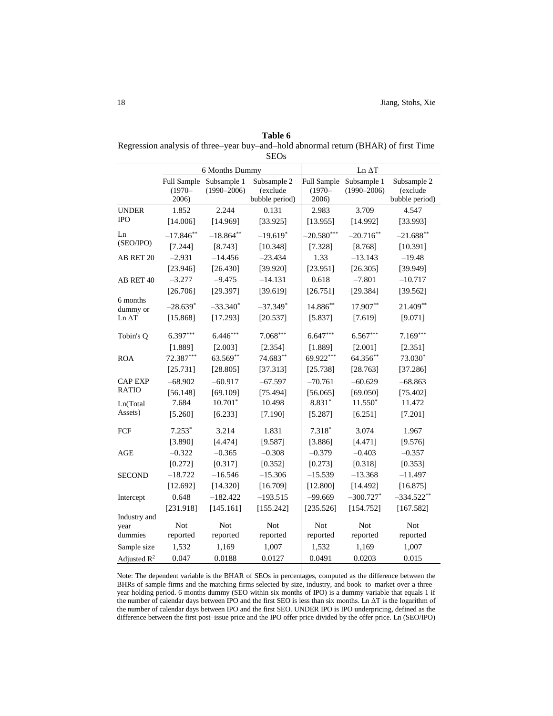| Table 6                                                                             |
|-------------------------------------------------------------------------------------|
| Regression analysis of three–year buy–and–hold abnormal return (BHAR) of first Time |
| <b>SEOs</b>                                                                         |

|                            |             | 6 Months Dummy          |                         |              | Ln ΔT                   |                         |
|----------------------------|-------------|-------------------------|-------------------------|--------------|-------------------------|-------------------------|
|                            |             | Full Sample Subsample 1 | Subsample 2             | Full Sample  | Subsample 1             | Subsample 2             |
|                            | $(1970 -$   | $(1990 - 2006)$         | (exclude                | $(1970 -$    | $(1990 - 2006)$         | (exclude                |
|                            | 2006)       | 2.244                   | bubble period)<br>0.131 | 2006)        | 3.709                   | bubble period)<br>4.547 |
| <b>UNDER</b><br><b>IPO</b> | 1.852       |                         |                         | 2.983        |                         |                         |
|                            | [14.006]    | [14.969]                | [33.925]                | [13.955]     | [14.992]                | [33.993]                |
| Ln                         | $-17.846**$ | $-18.864**$             | $-19.619*$              | $-20.580***$ | $-20.716**$             | $-21.688**$             |
| (SEO/IPO)                  | [7.244]     | [8.743]                 | [10.348]                | [7.328]      | [8.768]                 | [10.391]                |
| AB RET 20                  | $-2.931$    | $-14.456$               | $-23.434$               | 1.33         | $-13.143$               | $-19.48$                |
|                            | [23.946]    | [26.430]                | [39.920]                | [23.951]     | [26.305]                | [39.949]                |
| AB RET 40                  | $-3.277$    | $-9.475$                | $-14.131$               | 0.618        | $-7.801$                | $-10.717$               |
|                            | [26.706]    | [29.397]                | [39.619]                | [26.751]     | [29.384]                | [39.562]                |
| 6 months                   | $-28.639*$  | $-33.340*$              | $-37.349*$              | $14.886**$   | 17.907**                | 21.409**                |
| dummy or<br>Ln ΔT          | [15.868]    | [17.293]                | [20.537]                | [5.837]      | [7.619]                 | [9.071]                 |
|                            |             |                         |                         |              |                         |                         |
| Tobin's Q                  | $6.397***$  | $6.446***$              | $7.068***$              | $6.647***$   | $6.567***$              | $7.169***$              |
|                            | [1.889]     | [2.003]                 | [2.354]                 | [1.889]      | [2.001]                 | [2.351]                 |
| <b>ROA</b>                 | 72.387***   | 63.569**                | 74.683**                | 69.922***    | 64.356**                | 73.030*                 |
|                            | [25.731]    | [28.805]                | [37.313]                | [25.738]     | [28.763]                | [37.286]                |
| <b>CAP EXP</b>             | $-68.902$   | $-60.917$               | $-67.597$               | $-70.761$    | $-60.629$               | $-68.863$               |
| <b>RATIO</b>               | [56.148]    | [69.109]                | [75.494]                | [56.065]     | [69.050]                | [75.402]                |
| Ln(Total                   | 7.684       | $10.701*$               | 10.498                  | $8.831*$     | $11.550*$               | 11.472                  |
| Assets)                    | [5.260]     | [6.233]                 | [7.190]                 | [5.287]      | [6.251]                 | [7.201]                 |
| FCF                        | $7.253*$    | 3.214                   | 1.831                   | $7.318*$     | 3.074                   | 1.967                   |
|                            | [3.890]     | [4.474]                 | [9.587]                 | [3.886]      | [4.471]                 | [9.576]                 |
| AGE                        | $-0.322$    | $-0.365$                | $-0.308$                | $-0.379$     | $-0.403$                | $-0.357$                |
|                            | [0.272]     | [0.317]                 | [0.352]                 | [0.273]      | [0.318]                 | [0.353]                 |
| <b>SECOND</b>              | $-18.722$   | $-16.546$               | $-15.306$               | $-15.539$    | $-13.368$               | $-11.497$               |
|                            | [12.692]    | [14.320]                | [16.709]                | [12.800]     | [14.492]                | [16.875]                |
| Intercept                  | 0.648       | $-182.422$              | $-193.515$              | $-99.669$    | $-300.727$ <sup>*</sup> | $-334.522**$            |
|                            | [231.918]   | [145.161]               | [155.242]               | [235.526]    | [154.752]               | [167.582]               |
| Industry and               |             |                         |                         |              |                         |                         |
| year                       | <b>Not</b>  | <b>Not</b>              | <b>Not</b>              | <b>Not</b>   | Not                     | Not                     |
| dummies                    | reported    | reported                | reported                | reported     | reported                | reported                |
| Sample size                | 1,532       | 1,169                   | 1,007                   | 1,532        | 1,169                   | 1,007                   |
| Adjusted $R^2$             | 0.047       | 0.0188                  | 0.0127                  | 0.0491       | 0.0203                  | 0.015                   |

Note: The dependent variable is the BHAR of SEOs in percentages, computed as the difference between the BHRs of sample firms and the matching firms selected by size, industry, and book–to–market over a three– year holding period. 6 months dummy (SEO within six months of IPO) is a dummy variable that equals 1 if the number of calendar days between IPO and the first SEO is less than six months. Ln ΔT is the logarithm of the number of calendar days between IPO and the first SEO. UNDER IPO is IPO underpricing, defined as the difference between the first post–issue price and the IPO offer price divided by the offer price. Ln (SEO/IPO)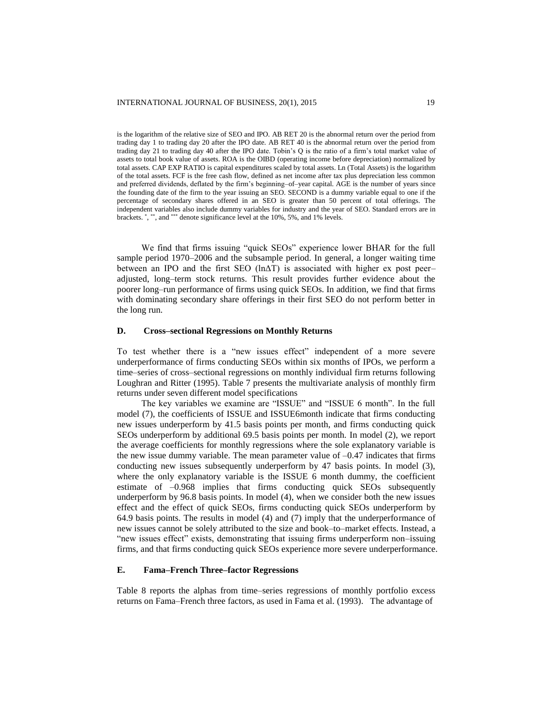is the logarithm of the relative size of SEO and IPO. AB RET 20 is the abnormal return over the period from trading day 1 to trading day 20 after the IPO date. AB RET 40 is the abnormal return over the period from trading day 21 to trading day 40 after the IPO date. Tobin's Q is the ratio of a firm's total market value of assets to total book value of assets. ROA is the OIBD (operating income before depreciation) normalized by total assets. CAP EXP RATIO is capital expenditures scaled by total assets. Ln (Total Assets) is the logarithm of the total assets. FCF is the free cash flow, defined as net income after tax plus depreciation less common and preferred dividends, deflated by the firm's beginning–of–year capital. AGE is the number of years since the founding date of the firm to the year issuing an SEO. SECOND is a dummy variable equal to one if the percentage of secondary shares offered in an SEO is greater than 50 percent of total offerings. The independent variables also include dummy variables for industry and the year of SEO. Standard errors are in brackets. ", \*\*, and \*\*\* denote significance level at the 10%, 5%, and 1% levels.

We find that firms issuing "quick SEOs" experience lower BHAR for the full sample period 1970–2006 and the subsample period. In general, a longer waiting time between an IPO and the first SEO (lnΔT) is associated with higher ex post peer– adjusted, long–term stock returns. This result provides further evidence about the poorer long–run performance of firms using quick SEOs. In addition, we find that firms with dominating secondary share offerings in their first SEO do not perform better in the long run.

#### **D. Cross–sectional Regressions on Monthly Returns**

To test whether there is a "new issues effect" independent of a more severe underperformance of firms conducting SEOs within six months of IPOs, we perform a time–series of cross–sectional regressions on monthly individual firm returns following Loughran and Ritter (1995). Table 7 presents the multivariate analysis of monthly firm returns under seven different model specifications

The key variables we examine are "ISSUE" and "ISSUE 6 month". In the full model (7), the coefficients of ISSUE and ISSUE6month indicate that firms conducting new issues underperform by 41.5 basis points per month, and firms conducting quick SEOs underperform by additional 69.5 basis points per month. In model (2), we report the average coefficients for monthly regressions where the sole explanatory variable is the new issue dummy variable. The mean parameter value of  $-0.47$  indicates that firms conducting new issues subsequently underperform by 47 basis points. In model (3), where the only explanatory variable is the ISSUE 6 month dummy, the coefficient estimate of –0.968 implies that firms conducting quick SEOs subsequently underperform by 96.8 basis points. In model (4), when we consider both the new issues effect and the effect of quick SEOs, firms conducting quick SEOs underperform by 64.9 basis points. The results in model (4) and (7) imply that the underperformance of new issues cannot be solely attributed to the size and book–to–market effects. Instead, a "new issues effect" exists, demonstrating that issuing firms underperform non–issuing firms, and that firms conducting quick SEOs experience more severe underperformance.

#### **E. Fama–French Three–factor Regressions**

Table 8 reports the alphas from time–series regressions of monthly portfolio excess returns on Fama–French three factors, as used in Fama et al. (1993). The advantage of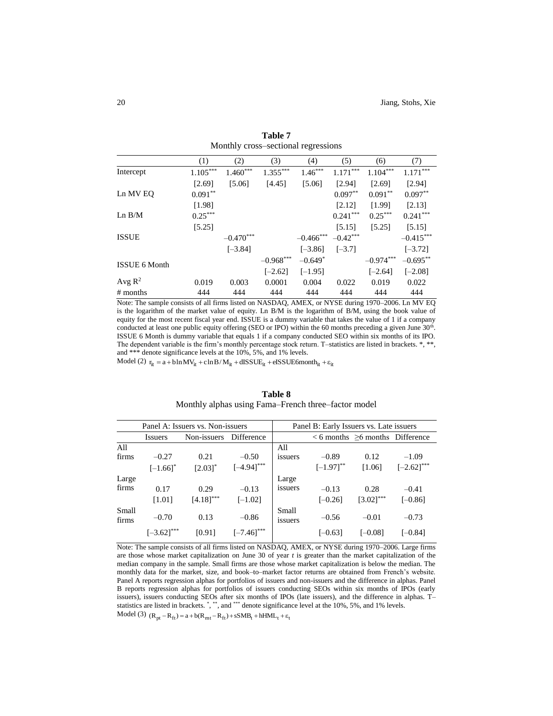|                    | (1)        | (2)         | (3)         | (4)          | (5)        | (6)         | (7)         |
|--------------------|------------|-------------|-------------|--------------|------------|-------------|-------------|
| Intercept          | $1.105***$ | $1.460***$  | $1.355***$  | $1.46***$    | $1.171***$ | $1.104***$  | $1.171***$  |
|                    | [2.69]     | [5.06]      | [4.45]      | [5.06]       | [2.94]     | [2.69]      | [2.94]      |
| Ln MV EQ           | $0.091**$  |             |             |              | $0.097**$  | $0.091**$   | $0.097**$   |
|                    | [1.98]     |             |             |              | [2.12]     | [1.99]      | [2.13]      |
| Ln B/M             | $0.25***$  |             |             |              | $0.241***$ | $0.25***$   | $0.241***$  |
|                    | [5.25]     |             |             |              | [5.15]     | [5.25]      | [5.15]      |
| <b>ISSUE</b>       |            | $-0.470***$ |             | $-0.466$ *** | $-0.42***$ |             | $-0.415***$ |
|                    |            | $[-3.84]$   |             | $[-3.86]$    | $[-3.7]$   |             | $[-3.72]$   |
| ISSUE 6 Month      |            |             | $-0.968***$ | $-0.649*$    |            | $-0.974***$ | $-0.695***$ |
|                    |            |             | $[-2.62]$   | $[-1.95]$    |            | $[-2.64]$   | $[-2.08]$   |
| Avg $\mathbb{R}^2$ | 0.019      | 0.003       | 0.0001      | 0.004        | 0.022      | 0.019       | 0.022       |
| # months           | 444        | 444         | 444         | 444          | 444        | 444         | 444         |

**Table 7** Monthly cross–sectional regressions

Note: The sample consists of all firms listed on NASDAQ, AMEX, or NYSE during 1970–2006. Ln MV EQ is the logarithm of the market value of equity. Ln B/M is the logarithm of B/M, using the book value of equity for the most recent fiscal year end. ISSUE is a dummy variable that takes the value of 1 if a company conducted at least one public equity offering (SEO or IPO) within the 60 months preceding a given June 30<sup>th</sup>. ISSUE 6 Month is dummy variable that equals 1 if a company conducted SEO within six months of its IPO. The dependent variable is the firm's monthly percentage stock return. T-statistics are listed in brackets. \*, \*\*, and \*\*\* denote significance levels at the 10%, 5%, and 1% levels.

Model (2)  $r_{it} = a + b \ln MV_{it} + c \ln B/M_{it} + dISSUE_{it} + eISSUE6$  month<sub>it</sub>  $+\varepsilon_{it}$ 

# **Table 8** Monthly alphas using Fama–French three–factor model

|                | Panel A: Issuers vs. Non-issuers |                |                 | Panel B: Early Issuers vs. Late issuers |                |                                         |                 |
|----------------|----------------------------------|----------------|-----------------|-----------------------------------------|----------------|-----------------------------------------|-----------------|
|                | <i>Issuers</i>                   | Non-issuers    | Difference      |                                         |                | $< 6$ months $\geq 6$ months Difference |                 |
| All            |                                  |                |                 | All                                     |                |                                         |                 |
| firms          | $-0.27$                          | 0.21           | $-0.50$         | issuers                                 | $-0.89$        | 0.12                                    | $-1.09$         |
|                | $[-1.66]$ <sup>*</sup>           | $[2.03]$ *     | $[-4.94]^{***}$ |                                         | $[-1.97]^{**}$ | [1.06]                                  | $[-2.62]^{***}$ |
| Large          |                                  |                |                 | Large                                   |                |                                         |                 |
| firms          | 0.17                             | 0.29           | $-0.13$         | issuers                                 | $-0.13$        | 0.28                                    | $-0.41$         |
|                | [1.01]                           | $[4.18]^{***}$ | $[-1.02]$       |                                         | $[-0.26]$      | $[3.02]^{***}$                          | $[-0.86]$       |
| Small<br>firms | $-0.70$                          | 0.13           | $-0.86$         | Small<br>issuers                        | $-0.56$        | $-0.01$                                 | $-0.73$         |
|                | $[-3.62]^{***}$                  | [0.91]         | $[-7.46]$ ***   |                                         | [–0.63]        | $[-0.08]$                               | $[-0.84]$       |

Note: The sample consists of all firms listed on NASDAQ, AMEX, or NYSE during 1970–2006. Large firms are those whose market capitalization on June 30 of year *t* is greater than the market capitalization of the median company in the sample. Small firms are those whose market capitalization is below the median. The monthly data for the market, size, and book–to–market factor returns are obtained from French's website. Panel A reports regression alphas for portfolios of issuers and non-issuers and the difference in alphas. Panel B reports regression alphas for portfolios of issuers conducting SEOs within six months of IPOs (early issuers), issuers conducting SEOs after six months of IPOs (late issuers), and the difference in alphas. T– statistics are listed in brackets. \*,\*\*, and \*\*\* denote significance level at the 10%, 5%, and 1% levels. Model (3)  $(R_{\text{pt}} - R_{\text{ft}}) = a + b(R_{\text{mt}} - R_{\text{ft}}) + sSMB_t + hHML_t + \varepsilon_t$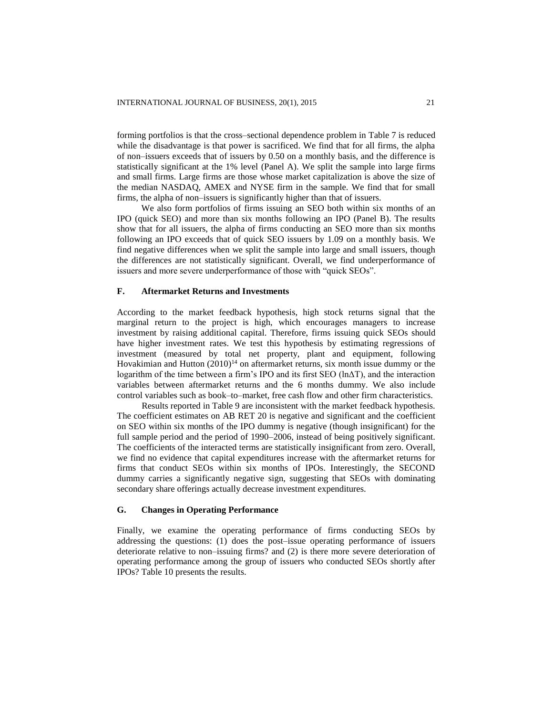forming portfolios is that the cross–sectional dependence problem in Table 7 is reduced while the disadvantage is that power is sacrificed. We find that for all firms, the alpha of non–issuers exceeds that of issuers by 0.50 on a monthly basis, and the difference is statistically significant at the 1% level (Panel A). We split the sample into large firms and small firms. Large firms are those whose market capitalization is above the size of the median NASDAQ, AMEX and NYSE firm in the sample. We find that for small firms, the alpha of non–issuers is significantly higher than that of issuers.

We also form portfolios of firms issuing an SEO both within six months of an IPO (quick SEO) and more than six months following an IPO (Panel B). The results show that for all issuers, the alpha of firms conducting an SEO more than six months following an IPO exceeds that of quick SEO issuers by 1.09 on a monthly basis. We find negative differences when we split the sample into large and small issuers, though the differences are not statistically significant. Overall, we find underperformance of issuers and more severe underperformance of those with "quick SEOs".

#### **F. Aftermarket Returns and Investments**

According to the market feedback hypothesis, high stock returns signal that the marginal return to the project is high, which encourages managers to increase investment by raising additional capital. Therefore, firms issuing quick SEOs should have higher investment rates. We test this hypothesis by estimating regressions of investment (measured by total net property, plant and equipment, following Hovakimian and Hutton  $(2010)^{14}$  on aftermarket returns, six month issue dummy or the logarithm of the time between a firm's IPO and its first SEO (lnΔT), and the interaction variables between aftermarket returns and the 6 months dummy. We also include control variables such as book–to–market, free cash flow and other firm characteristics.

Results reported in Table 9 are inconsistent with the market feedback hypothesis. The coefficient estimates on AB RET 20 is negative and significant and the coefficient on SEO within six months of the IPO dummy is negative (though insignificant) for the full sample period and the period of 1990–2006, instead of being positively significant. The coefficients of the interacted terms are statistically insignificant from zero. Overall, we find no evidence that capital expenditures increase with the aftermarket returns for firms that conduct SEOs within six months of IPOs. Interestingly, the SECOND dummy carries a significantly negative sign, suggesting that SEOs with dominating secondary share offerings actually decrease investment expenditures.

#### **G. Changes in Operating Performance**

Finally, we examine the operating performance of firms conducting SEOs by addressing the questions: (1) does the post–issue operating performance of issuers deteriorate relative to non–issuing firms? and (2) is there more severe deterioration of operating performance among the group of issuers who conducted SEOs shortly after IPOs? Table 10 presents the results.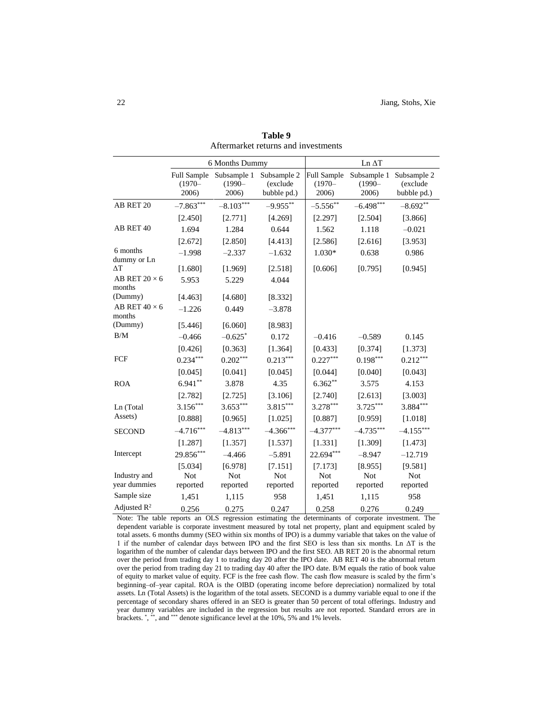|                                | 6 Months Dummy                    |                                   |                                        | $Ln \Delta T$                     |                                   |                                        |  |
|--------------------------------|-----------------------------------|-----------------------------------|----------------------------------------|-----------------------------------|-----------------------------------|----------------------------------------|--|
|                                | Full Sample<br>$(1970 -$<br>2006) | Subsample 1<br>$(1990 -$<br>2006) | Subsample 2<br>(exclude<br>bubble pd.) | Full Sample<br>$(1970 -$<br>2006) | Subsample 1<br>$(1990 -$<br>2006) | Subsample 2<br>(exclude<br>bubble pd.) |  |
| AB RET 20                      | $-7.863***$                       | $-8.103***$                       | $-9.955***$                            | $-5.556**$                        | $-6.498***$                       | $-8.692**$                             |  |
|                                | [2.450]                           | [2.771]                           | [4.269]                                | [2.297]                           | [2.504]                           | [3.866]                                |  |
| AB RET 40                      | 1.694                             | 1.284                             | 0.644                                  | 1.562                             | 1.118                             | $-0.021$                               |  |
|                                | [2.672]                           | [2.850]                           | [4.413]                                | [2.586]                           | [2.616]                           | [3.953]                                |  |
| 6 months<br>dummy or Ln        | $-1.998$                          | $-2.337$                          | $-1.632$                               | 1.030*                            | 0.638                             | 0.986                                  |  |
| $\Delta T$                     | [1.680]                           | [1.969]                           | [2.518]                                | [0.606]                           | [0.795]                           | [0.945]                                |  |
| AB RET $20 \times 6$<br>months | 5.953                             | 5.229                             | 4.044                                  |                                   |                                   |                                        |  |
| (Dummy)                        | [4.463]                           | [4.680]                           | [8.332]                                |                                   |                                   |                                        |  |
| AB RET $40 \times 6$<br>months | $-1.226$                          | 0.449                             | $-3.878$                               |                                   |                                   |                                        |  |
| (Dummy)                        | [5.446]                           | [6.060]                           | [8.983]                                |                                   |                                   |                                        |  |
| B/M                            | $-0.466$                          | $-0.625*$                         | 0.172                                  | $-0.416$                          | $-0.589$                          | 0.145                                  |  |
|                                | [0.426]                           | [0.363]                           | [1.364]                                | [0.433]                           | [0.374]                           | [1.373]                                |  |
| FCF                            | $0.234***$                        | $0.202***$                        | $0.213***$                             | $0.227***$                        | $0.198***$                        | $0.212***$                             |  |
|                                | [0.045]                           | [0.041]                           | [0.045]                                | [0.044]                           | [0.040]                           | [0.043]                                |  |
| <b>ROA</b>                     | $6.941**$                         | 3.878                             | 4.35                                   | $6.362**$                         | 3.575                             | 4.153                                  |  |
|                                | [2.782]                           | [2.725]                           | [3.106]                                | [2.740]                           | [2.613]                           | [3.003]                                |  |
| Ln (Total                      | $3.156***$                        | $3.653***$                        | 3.815***                               | 3.278***                          | $3.725***$                        | $3.884***$                             |  |
| Assets)                        | [0.888]                           | [0.965]                           | [1.025]                                | [0.887]                           | [0.959]                           | [1.018]                                |  |
| <b>SECOND</b>                  | $-4.716***$                       | $-4.813***$                       | $-4.366***$                            | $-4.377***$                       | $-4.735***$                       | $-4.155***$                            |  |
|                                | [1.287]                           | [1.357]                           | [1.537]                                | [1.331]                           | [1.309]                           | [1.473]                                |  |
| Intercept                      | 29.856***                         | $-4.466$                          | $-5.891$                               | 22.694***                         | $-8.947$                          | $-12.719$                              |  |
| Industry and                   | [5.034]<br>Not                    | [6.978]<br>Not                    | [7.151]<br>Not                         | [7.173]<br>Not                    | [8.955]<br><b>Not</b>             | [9.581]<br>Not                         |  |
| year dummies                   | reported                          | reported                          | reported                               | reported                          | reported                          | reported                               |  |
| Sample size                    | 1,451                             | 1,115                             | 958                                    | 1,451                             | 1,115                             | 958                                    |  |
| Adjusted $R^2$                 | 0.256                             | 0.275                             | 0.247                                  | 0.258                             | 0.276                             | 0.249                                  |  |

**Table 9** Aftermarket returns and investments

Note: The table reports an OLS regression estimating the determinants of corporate investment. The dependent variable is corporate investment measured by total net property, plant and equipment scaled by total assets. 6 months dummy (SEO within six months of IPO) is a dummy variable that takes on the value of 1 if the number of calendar days between IPO and the first SEO is less than six months. Ln ΔT is the logarithm of the number of calendar days between IPO and the first SEO. AB RET 20 is the abnormal return over the period from trading day 1 to trading day 20 after the IPO date. AB RET 40 is the abnormal return over the period from trading day 21 to trading day 40 after the IPO date. B/M equals the ratio of book value of equity to market value of equity. FCF is the free cash flow. The cash flow measure is scaled by the firm's beginning–of–year capital. ROA is the OIBD (operating income before depreciation) normalized by total assets. Ln (Total Assets) is the logarithm of the total assets. SECOND is a dummy variable equal to one if the percentage of secondary shares offered in an SEO is greater than 50 percent of total offerings. Industry and year dummy variables are included in the regression but results are not reported. Standard errors are in brackets. ", \*\*, and \*\*\* denote significance level at the 10%, 5% and 1% levels.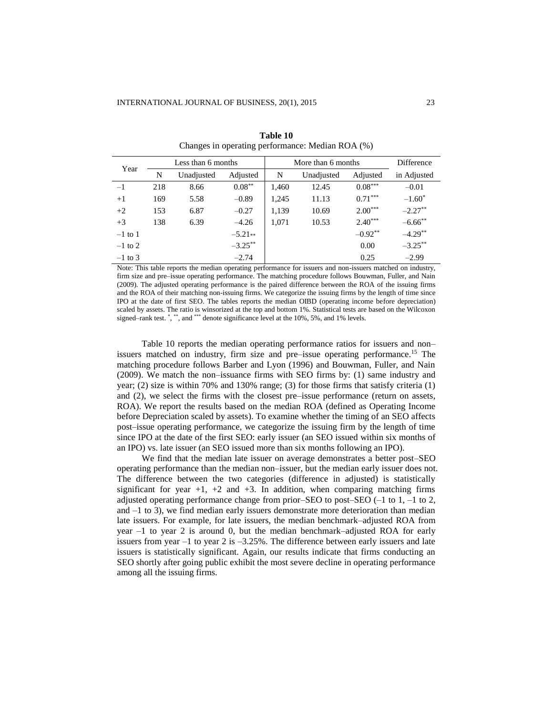| Year      | Less than 6 months |            |            | More than 6 months |            |           | <b>Difference</b> |
|-----------|--------------------|------------|------------|--------------------|------------|-----------|-------------------|
|           | N                  | Unadjusted | Adjusted   | N                  | Unadjusted | Adjusted  | in Adjusted       |
| $-1$      | 218                | 8.66       | $0.08***$  | 1,460              | 12.45      | $0.08***$ | $-0.01$           |
| $+1$      | 169                | 5.58       | $-0.89$    | 1,245              | 11.13      | $0.71***$ | $-1.60^*$         |
| $+2$      | 153                | 6.87       | $-0.27$    | 1,139              | 10.69      | $2.00***$ | $-2.27***$        |
| $+3$      | 138                | 6.39       | $-4.26$    | 1.071              | 10.53      | $2.40***$ | $-6.66$ **        |
| $-1$ to 1 |                    |            | $-5.21**$  |                    |            | $-0.92**$ | $-4.29**$         |
| $-1$ to 2 |                    |            | $-3.25***$ |                    |            | 0.00      | $-3.25***$        |
| $-1$ to 3 |                    |            | $-2.74$    |                    |            | 0.25      | $-2.99$           |

**Table 10** Changes in operating performance: Median ROA (%)

Note: This table reports the median operating performance for issuers and non-issuers matched on industry, firm size and pre–issue operating performance. The matching procedure follows Bouwman, Fuller, and Nain (2009). The adjusted operating performance is the paired difference between the ROA of the issuing firms and the ROA of their matching non-issuing firms. We categorize the issuing firms by the length of time since IPO at the date of first SEO. The tables reports the median OIBD (operating income before depreciation) scaled by assets. The ratio is winsorized at the top and bottom 1%. Statistical tests are based on the Wilcoxon signed–rank test. \*, \*\*, and \*\*\* denote significance level at the 10%, 5%, and 1% levels.

Table 10 reports the median operating performance ratios for issuers and non– issuers matched on industry, firm size and pre-issue operating performance.<sup>15</sup> The matching procedure follows Barber and Lyon (1996) and Bouwman, Fuller, and Nain (2009). We match the non–issuance firms with SEO firms by: (1) same industry and year; (2) size is within 70% and 130% range; (3) for those firms that satisfy criteria (1) and (2), we select the firms with the closest pre–issue performance (return on assets, ROA). We report the results based on the median ROA (defined as Operating Income before Depreciation scaled by assets). To examine whether the timing of an SEO affects post–issue operating performance, we categorize the issuing firm by the length of time since IPO at the date of the first SEO: early issuer (an SEO issued within six months of an IPO) vs. late issuer (an SEO issued more than six months following an IPO).

We find that the median late issuer on average demonstrates a better post–SEO operating performance than the median non–issuer, but the median early issuer does not. The difference between the two categories (difference in adjusted) is statistically significant for year  $+1$ ,  $+2$  and  $+3$ . In addition, when comparing matching firms adjusted operating performance change from prior–SEO to post–SEO (–1 to 1, –1 to 2, and  $-1$  to 3), we find median early issuers demonstrate more deterioration than median late issuers. For example, for late issuers, the median benchmark–adjusted ROA from year –1 to year 2 is around 0, but the median benchmark–adjusted ROA for early issuers from year  $-1$  to year 2 is  $-3.25\%$ . The difference between early issuers and late issuers is statistically significant. Again, our results indicate that firms conducting an SEO shortly after going public exhibit the most severe decline in operating performance among all the issuing firms.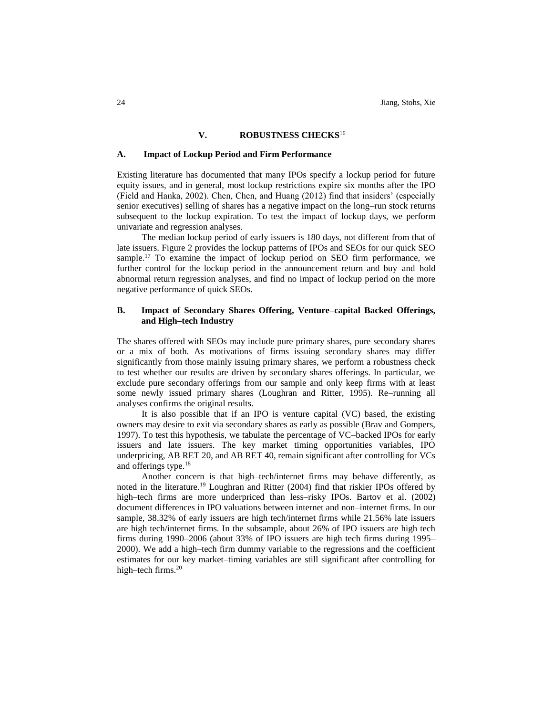#### **V. ROBUSTNESS CHECKS**<sup>16</sup>

#### **A. Impact of Lockup Period and Firm Performance**

Existing literature has documented that many IPOs specify a lockup period for future equity issues, and in general, most lockup restrictions expire six months after the IPO (Field and Hanka, 2002). Chen, Chen, and Huang (2012) find that insiders' (especially senior executives) selling of shares has a negative impact on the long–run stock returns subsequent to the lockup expiration. To test the impact of lockup days, we perform univariate and regression analyses.

The median lockup period of early issuers is 180 days, not different from that of late issuers. Figure 2 provides the lockup patterns of IPOs and SEOs for our quick SEO sample.<sup>17</sup> To examine the impact of lockup period on SEO firm performance, we further control for the lockup period in the announcement return and buy–and–hold abnormal return regression analyses, and find no impact of lockup period on the more negative performance of quick SEOs.

# **B. Impact of Secondary Shares Offering, Venture–capital Backed Offerings, and High–tech Industry**

The shares offered with SEOs may include pure primary shares, pure secondary shares or a mix of both. As motivations of firms issuing secondary shares may differ significantly from those mainly issuing primary shares, we perform a robustness check to test whether our results are driven by secondary shares offerings. In particular, we exclude pure secondary offerings from our sample and only keep firms with at least some newly issued primary shares (Loughran and Ritter, 1995). Re–running all analyses confirms the original results.

It is also possible that if an IPO is venture capital (VC) based, the existing owners may desire to exit via secondary shares as early as possible (Brav and Gompers, 1997). To test this hypothesis, we tabulate the percentage of VC–backed IPOs for early issuers and late issuers. The key market timing opportunities variables, IPO underpricing, AB RET 20, and AB RET 40, remain significant after controlling for VCs and offerings type.<sup>18</sup>

Another concern is that high–tech/internet firms may behave differently, as noted in the literature.<sup>19</sup> Loughran and Ritter (2004) find that riskier IPOs offered by high–tech firms are more underpriced than less–risky IPOs. Bartov et al. (2002) document differences in IPO valuations between internet and non–internet firms. In our sample, 38.32% of early issuers are high tech/internet firms while 21.56% late issuers are high tech/internet firms. In the subsample, about 26% of IPO issuers are high tech firms during 1990–2006 (about 33% of IPO issuers are high tech firms during 1995– 2000). We add a high–tech firm dummy variable to the regressions and the coefficient estimates for our key market–timing variables are still significant after controlling for high-tech firms.<sup>20</sup>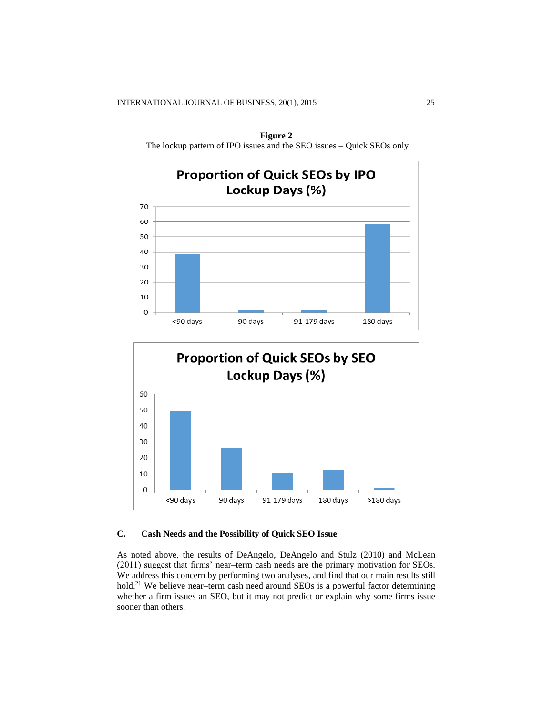

**Figure 2** The lockup pattern of IPO issues and the SEO issues – Quick SEOs only



# **C. Cash Needs and the Possibility of Quick SEO Issue**

As noted above, the results of DeAngelo, DeAngelo and Stulz (2010) and McLean (2011) suggest that firms' near–term cash needs are the primary motivation for SEOs. We address this concern by performing two analyses, and find that our main results still hold.<sup>21</sup> We believe near–term cash need around SEOs is a powerful factor determining whether a firm issues an SEO, but it may not predict or explain why some firms issue sooner than others.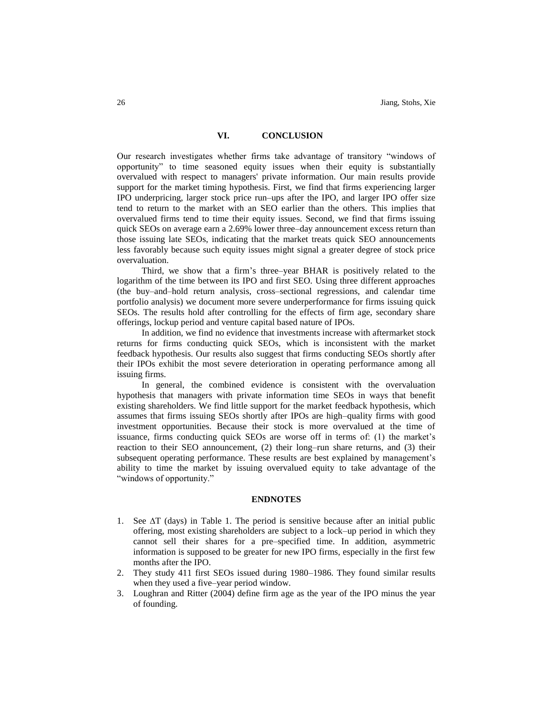#### **VI. CONCLUSION**

Our research investigates whether firms take advantage of transitory "windows of opportunity" to time seasoned equity issues when their equity is substantially overvalued with respect to managers' private information. Our main results provide support for the market timing hypothesis. First, we find that firms experiencing larger IPO underpricing, larger stock price run–ups after the IPO, and larger IPO offer size tend to return to the market with an SEO earlier than the others. This implies that overvalued firms tend to time their equity issues. Second, we find that firms issuing quick SEOs on average earn a 2.69% lower three–day announcement excess return than those issuing late SEOs, indicating that the market treats quick SEO announcements less favorably because such equity issues might signal a greater degree of stock price overvaluation.

Third, we show that a firm's three–year BHAR is positively related to the logarithm of the time between its IPO and first SEO. Using three different approaches (the buy–and–hold return analysis, cross–sectional regressions, and calendar time portfolio analysis) we document more severe underperformance for firms issuing quick SEOs. The results hold after controlling for the effects of firm age, secondary share offerings, lockup period and venture capital based nature of IPOs.

In addition, we find no evidence that investments increase with aftermarket stock returns for firms conducting quick SEOs, which is inconsistent with the market feedback hypothesis. Our results also suggest that firms conducting SEOs shortly after their IPOs exhibit the most severe deterioration in operating performance among all issuing firms.

In general, the combined evidence is consistent with the overvaluation hypothesis that managers with private information time SEOs in ways that benefit existing shareholders. We find little support for the market feedback hypothesis, which assumes that firms issuing SEOs shortly after IPOs are high–quality firms with good investment opportunities. Because their stock is more overvalued at the time of issuance, firms conducting quick SEOs are worse off in terms of: (1) the market's reaction to their SEO announcement, (2) their long–run share returns, and (3) their subsequent operating performance. These results are best explained by management's ability to time the market by issuing overvalued equity to take advantage of the "windows of opportunity."

#### **ENDNOTES**

- 1. See  $\Delta T$  (days) in Table 1. The period is sensitive because after an initial public offering, most existing shareholders are subject to a lock–up period in which they cannot sell their shares for a pre–specified time. In addition, asymmetric information is supposed to be greater for new IPO firms, especially in the first few months after the IPO.
- 2. They study 411 first SEOs issued during 1980–1986. They found similar results when they used a five–year period window.
- 3. Loughran and Ritter (2004) define firm age as the year of the IPO minus the year of founding.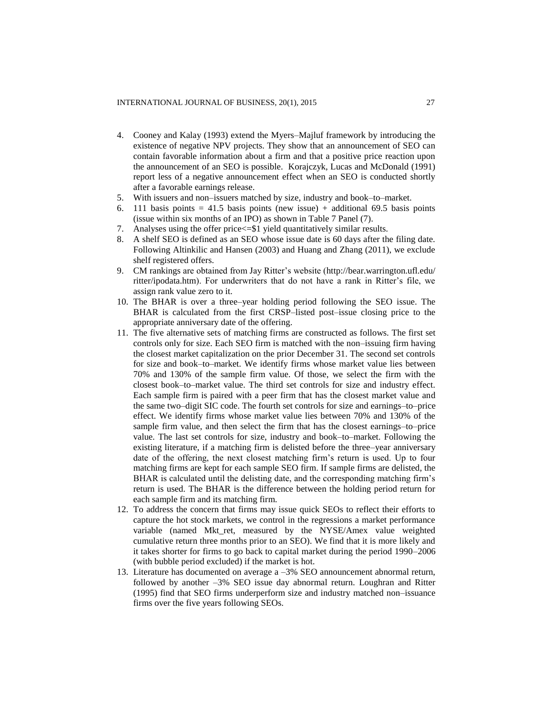- 4. Cooney and Kalay (1993) extend the Myers–Majluf framework by introducing the existence of negative NPV projects. They show that an announcement of SEO can contain favorable information about a firm and that a positive price reaction upon the announcement of an SEO is possible. Korajczyk, Lucas and McDonald (1991) report less of a negative announcement effect when an SEO is conducted shortly after a favorable earnings release.
- 5. With issuers and non–issuers matched by size, industry and book–to–market.
- 6. 111 basis points = 41.5 basis points (new issue) + additional 69.5 basis points (issue within six months of an IPO) as shown in Table 7 Panel (7).
- 7. Analyses using the offer price<=\$1 yield quantitatively similar results.
- 8. A shelf SEO is defined as an SEO whose issue date is 60 days after the filing date. Following Altinkilic and Hansen (2003) and Huang and Zhang (2011), we exclude shelf registered offers.
- 9. CM rankings are obtained from Jay Ritter's website [\(http://bear.warrington.ufl.edu/](http://bear.warrington.ufl.edu/ritter/ipodata.htm) [ritter/ipodata.htm\)](http://bear.warrington.ufl.edu/ritter/ipodata.htm). For underwriters that do not have a rank in Ritter's file, we assign rank value zero to it.
- 10. The BHAR is over a three–year holding period following the SEO issue. The BHAR is calculated from the first CRSP–listed post–issue closing price to the appropriate anniversary date of the offering.
- 11. The five alternative sets of matching firms are constructed as follows. The first set controls only for size. Each SEO firm is matched with the non–issuing firm having the closest market capitalization on the prior December 31. The second set controls for size and book–to–market. We identify firms whose market value lies between 70% and 130% of the sample firm value. Of those, we select the firm with the closest book–to–market value. The third set controls for size and industry effect. Each sample firm is paired with a peer firm that has the closest market value and the same two–digit SIC code. The fourth set controls for size and earnings–to–price effect. We identify firms whose market value lies between 70% and 130% of the sample firm value, and then select the firm that has the closest earnings–to–price value. The last set controls for size, industry and book–to–market. Following the existing literature, if a matching firm is delisted before the three–year anniversary date of the offering, the next closest matching firm's return is used. Up to four matching firms are kept for each sample SEO firm. If sample firms are delisted, the BHAR is calculated until the delisting date, and the corresponding matching firm's return is used. The BHAR is the difference between the holding period return for each sample firm and its matching firm.
- 12. To address the concern that firms may issue quick SEOs to reflect their efforts to capture the hot stock markets, we control in the regressions a market performance variable (named Mkt\_ret, measured by the NYSE/Amex value weighted cumulative return three months prior to an SEO). We find that it is more likely and it takes shorter for firms to go back to capital market during the period 1990–2006 (with bubble period excluded) if the market is hot.
- 13. Literature has documented on average a –3% SEO announcement abnormal return, followed by another –3% SEO issue day abnormal return. Loughran and Ritter (1995) find that SEO firms underperform size and industry matched non–issuance firms over the five years following SEOs.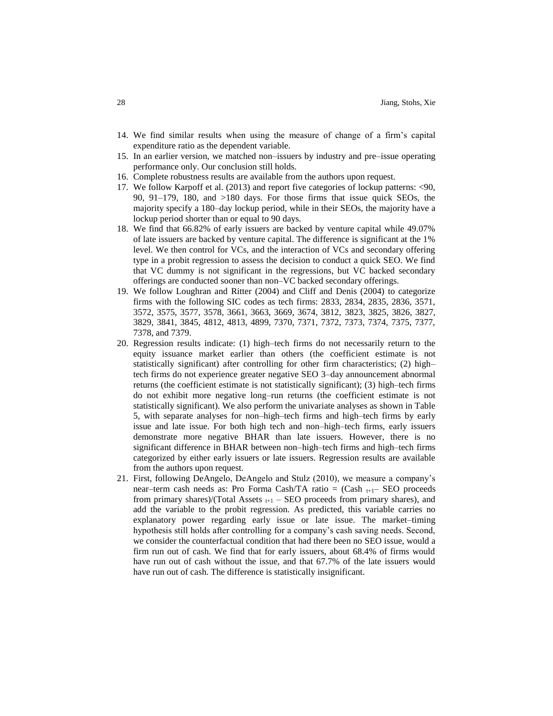- 14. We find similar results when using the measure of change of a firm's capital expenditure ratio as the dependent variable.
- 15. In an earlier version, we matched non–issuers by industry and pre–issue operating performance only. Our conclusion still holds.
- 16. Complete robustness results are available from the authors upon request.
- 17. We follow Karpoff et al. (2013) and report five categories of lockup patterns: <90, 90, 91–179, 180, and >180 days. For those firms that issue quick SEOs, the majority specify a 180–day lockup period, while in their SEOs, the majority have a lockup period shorter than or equal to 90 days.
- 18. We find that 66.82% of early issuers are backed by venture capital while 49.07% of late issuers are backed by venture capital. The difference is significant at the 1% level. We then control for VCs, and the interaction of VCs and secondary offering type in a probit regression to assess the decision to conduct a quick SEO. We find that VC dummy is not significant in the regressions, but VC backed secondary offerings are conducted sooner than non–VC backed secondary offerings.
- 19. We follow Loughran and Ritter (2004) and Cliff and Denis (2004) to categorize firms with the following SIC codes as tech firms: 2833, 2834, 2835, 2836, 3571, 3572, 3575, 3577, 3578, 3661, 3663, 3669, 3674, 3812, 3823, 3825, 3826, 3827, 3829, 3841, 3845, 4812, 4813, 4899, 7370, 7371, 7372, 7373, 7374, 7375, 7377, 7378, and 7379.
- 20. Regression results indicate: (1) high–tech firms do not necessarily return to the equity issuance market earlier than others (the coefficient estimate is not statistically significant) after controlling for other firm characteristics; (2) high– tech firms do not experience greater negative SEO 3–day announcement abnormal returns (the coefficient estimate is not statistically significant); (3) high–tech firms do not exhibit more negative long–run returns (the coefficient estimate is not statistically significant). We also perform the univariate analyses as shown in Table 5, with separate analyses for non–high–tech firms and high–tech firms by early issue and late issue. For both high tech and non–high–tech firms, early issuers demonstrate more negative BHAR than late issuers. However, there is no significant difference in BHAR between non–high–tech firms and high–tech firms categorized by either early issuers or late issuers. Regression results are available from the authors upon request.
- 21. First, following DeAngelo, DeAngelo and Stulz (2010), we measure a company's near–term cash needs as: Pro Forma Cash/TA ratio =  $(Cash_{t+1} - SEO)$  proceeds from primary shares)/(Total Assets  $_{t+1}$  – SEO proceeds from primary shares), and add the variable to the probit regression. As predicted, this variable carries no explanatory power regarding early issue or late issue. The market–timing hypothesis still holds after controlling for a company's cash saving needs. Second, we consider the counterfactual condition that had there been no SEO issue, would a firm run out of cash. We find that for early issuers, about 68.4% of firms would have run out of cash without the issue, and that 67.7% of the late issuers would have run out of cash. The difference is statistically insignificant.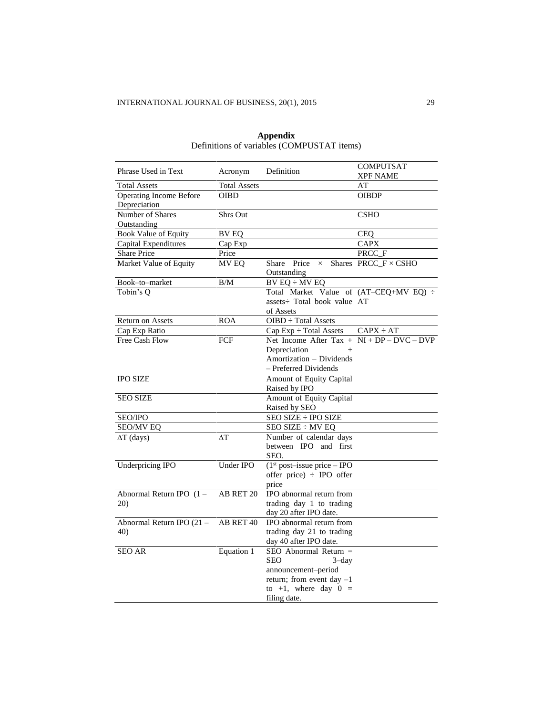|                                |                     |                                                                                 | <b>COMPUTSAT</b>            |
|--------------------------------|---------------------|---------------------------------------------------------------------------------|-----------------------------|
| Phrase Used in Text            | Acronym             | Definition                                                                      | XPF NAME                    |
| <b>Total Assets</b>            | <b>Total Assets</b> |                                                                                 | AT                          |
| <b>Operating Income Before</b> | <b>OIBD</b>         |                                                                                 | <b>OIBDP</b>                |
| Depreciation                   |                     |                                                                                 |                             |
| Number of Shares               | <b>Shrs Out</b>     |                                                                                 | <b>CSHO</b>                 |
| Outstanding                    |                     |                                                                                 |                             |
| <b>Book Value of Equity</b>    | <b>BV EQ</b>        |                                                                                 | <b>CEQ</b>                  |
| Capital Expenditures           | Cap Exp             |                                                                                 | <b>CAPX</b>                 |
| <b>Share Price</b>             | Price               |                                                                                 | PRCC_F                      |
| Market Value of Equity         | MV EQ               | Share Price<br>$\times$                                                         | Shares PRCC_F $\times$ CSHO |
|                                |                     | Outstanding                                                                     |                             |
| Book-to-market                 | B/M                 | $BVEQ \div MVEQ$                                                                |                             |
| Tobin's Q                      |                     | Total Market Value of (AT-CEQ+MV EQ) ÷                                          |                             |
|                                |                     | assets: Total book value AT                                                     |                             |
|                                |                     | of Assets                                                                       |                             |
| <b>Return on Assets</b>        | <b>ROA</b>          | OIBD ÷ Total Assets                                                             |                             |
| Cap Exp Ratio                  |                     | $Cap Exp \div Total Assets$                                                     | $CAPX \div AT$              |
| Free Cash Flow                 | FCF                 | Net Income After $\text{Tax} + \text{NI} + \text{DP} - \text{DVC} - \text{DVP}$ |                             |
|                                |                     | Depreciation<br>$+$                                                             |                             |
|                                |                     | Amortization – Dividends                                                        |                             |
|                                |                     | - Preferred Dividends                                                           |                             |
| <b>IPO SIZE</b>                |                     | Amount of Equity Capital                                                        |                             |
|                                |                     | Raised by IPO                                                                   |                             |
| <b>SEO SIZE</b>                |                     | Amount of Equity Capital                                                        |                             |
|                                |                     | Raised by SEO                                                                   |                             |
| <b>SEO/IPO</b>                 |                     | SEO SIZE ÷ IPO SIZE                                                             |                             |
| <b>SEO/MV EQ</b>               |                     | SEO SIZE ÷ MV EQ                                                                |                             |
| $\Delta T$ (days)              | ΔТ                  | Number of calendar days                                                         |                             |
|                                |                     | between IPO and first                                                           |                             |
|                                |                     | SEO.                                                                            |                             |
| <b>Underpricing IPO</b>        | Under IPO           | $(1st post-issue price – IPO)$                                                  |                             |
|                                |                     | offer price) $\div$ IPO offer                                                   |                             |
|                                |                     | price                                                                           |                             |
| Abnormal Return IPO $(1 -$     | AB RET 20           | IPO abnormal return from                                                        |                             |
| 20)                            |                     | trading day 1 to trading                                                        |                             |
|                                |                     | day 20 after IPO date.                                                          |                             |
| Abnormal Return IPO (21 -      | AB RET 40           | IPO abnormal return from                                                        |                             |
| 40)                            |                     | trading day 21 to trading                                                       |                             |
|                                |                     | day 40 after IPO date.                                                          |                             |
| <b>SEO AR</b>                  | <b>Equation 1</b>   | $SEO$ Abnormal Return $=$                                                       |                             |
|                                |                     | SEO<br>3-day                                                                    |                             |
|                                |                     | announcement-period                                                             |                             |
|                                |                     | return; from event day $-1$                                                     |                             |
|                                |                     | to +1, where day $0 =$                                                          |                             |
|                                |                     | filing date.                                                                    |                             |

| Appendix                                   |
|--------------------------------------------|
| Definitions of variables (COMPUSTAT items) |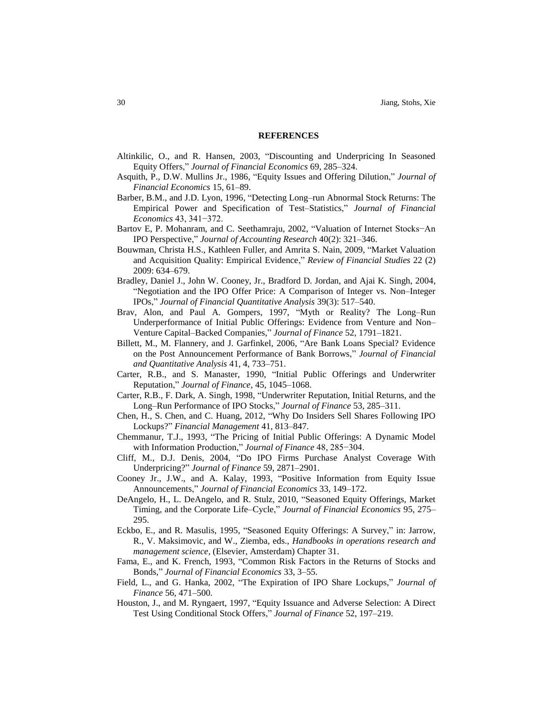#### **REFERENCES**

- Altinkilic, O., and R. Hansen, 2003, "Discounting and Underpricing In Seasoned Equity Offers," *Journal of Financial Economics* 69, 285–324.
- Asquith, P., D.W. Mullins Jr., 1986, "Equity Issues and Offering Dilution," *Journal of Financial Economics* 15, 61–89.
- Barber, B.M., and J.D. Lyon, 1996, "Detecting Long–run Abnormal Stock Returns: The Empirical Power and Specification of Test–Statistics," *Journal of Financial Economics* 43, 341−372.
- Bartov E, P. Mohanram, and C. Seethamraju, 2002, "Valuation of Internet Stocks−An IPO Perspective," *Journal of Accounting Research* 40(2): 321–346.
- Bouwman, Christa H.S., Kathleen Fuller, and Amrita S. Nain, 2009, "Market Valuation and Acquisition Quality: Empirical Evidence," *Review of Financial Studies* 22 (2) 2009: 634–679.
- Bradley, Daniel J., John W. Cooney, Jr., Bradford D. Jordan, and Ajai K. Singh, 2004, "Negotiation and the IPO Offer Price: A Comparison of Integer vs. Non–Integer IPOs," *Journal of Financial Quantitative Analysis* 39(3): 517–540.
- Brav, Alon, and Paul A. Gompers, 1997, "Myth or Reality? The Long–Run Underperformance of Initial Public Offerings: Evidence from Venture and Non– Venture Capital–Backed Companies," *Journal of Finance* 52, 1791–1821.
- Billett, M., M. Flannery, and J. Garfinkel, 2006, "Are Bank Loans Special? Evidence on the Post Announcement Performance of Bank Borrows," *Journal of Financial and Quantitative Analysis* 41, 4, 733–751.
- Carter, R.B., and S. Manaster, 1990, "Initial Public Offerings and Underwriter Reputation," *Journal of Finance*, 45, 1045–1068.
- Carter, R.B., F. Dark, A. Singh, 1998, "Underwriter Reputation, Initial Returns, and the Long–Run Performance of IPO Stocks," *Journal of Finance* 53, 285–311.
- Chen, H., S. Chen, and C. Huang, 2012, "Why Do Insiders Sell Shares Following IPO Lockups?" *Financial Management* 41, 813–847.
- Chemmanur, T.J., 1993, "The Pricing of Initial Public Offerings: A Dynamic Model with Information Production," *Journal of Finance* 48, 285−304.
- Cliff, M., D.J. Denis, 2004, "Do IPO Firms Purchase Analyst Coverage With Underpricing?" *Journal of Finance* 59, 2871–2901.
- Cooney Jr., J.W., and A. Kalay, 1993, "Positive Information from Equity Issue Announcements," *Journal of Financial Economics* 33, 149–172.
- DeAngelo, H., L. DeAngelo, and R. Stulz, 2010, "Seasoned Equity Offerings, Market Timing, and the Corporate Life–Cycle," *Journal of Financial Economics* 95, 275– 295.
- Eckbo, E., and R. Masulis, 1995, "Seasoned Equity Offerings: A Survey," in: Jarrow, R., V. Maksimovic, and W., Ziemba, eds., *Handbooks in operations research and management science*, (Elsevier, Amsterdam) Chapter 31.
- Fama, E., and K. French, 1993, "Common Risk Factors in the Returns of Stocks and Bonds," *Journal of Financial Economics* 33, 3–55.
- Field, L., and G. Hanka, 2002, "The Expiration of IPO Share Lockups," *Journal of Finance* 56, 471–500.
- Houston, J., and M. Ryngaert, 1997, "Equity Issuance and Adverse Selection: A Direct Test Using Conditional Stock Offers," *Journal of Finance* 52, 197–219.